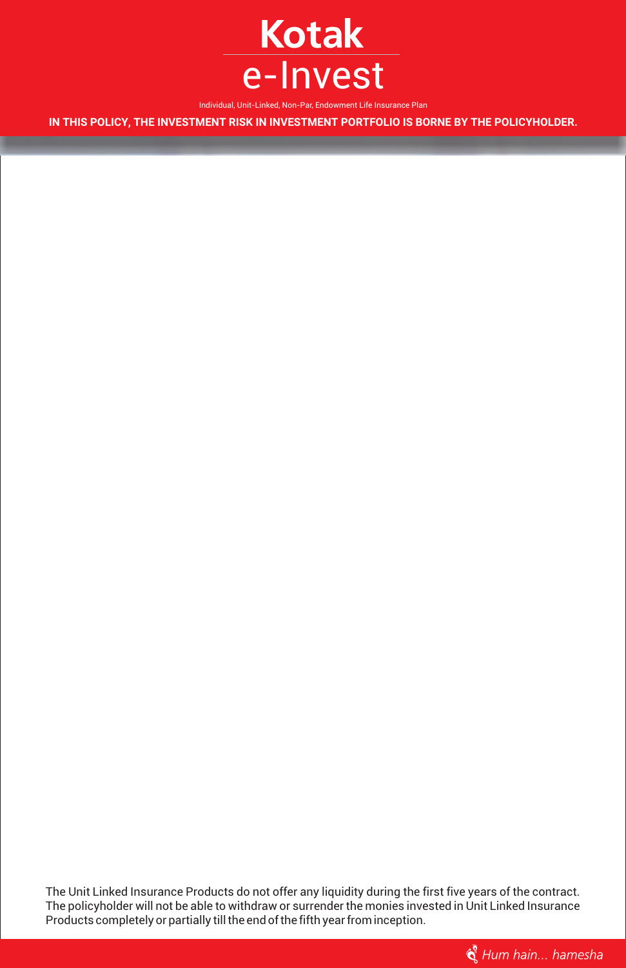

Individual, Unit-Linked, Non-Par, Endowment Life Insurance Plan

**IN THIS POLICY, THE INVESTMENT RISK IN INVESTMENT PORTFOLIO IS BORNE BY THE POLICYHOLDER.**

The Unit Linked Insurance Products do not offer any liquidity during the first five years of the contract. The policyholder will not be able to withdraw or surrender the monies invested in Unit Linked Insurance Products completely or partially till the end of the fifth year from inception.

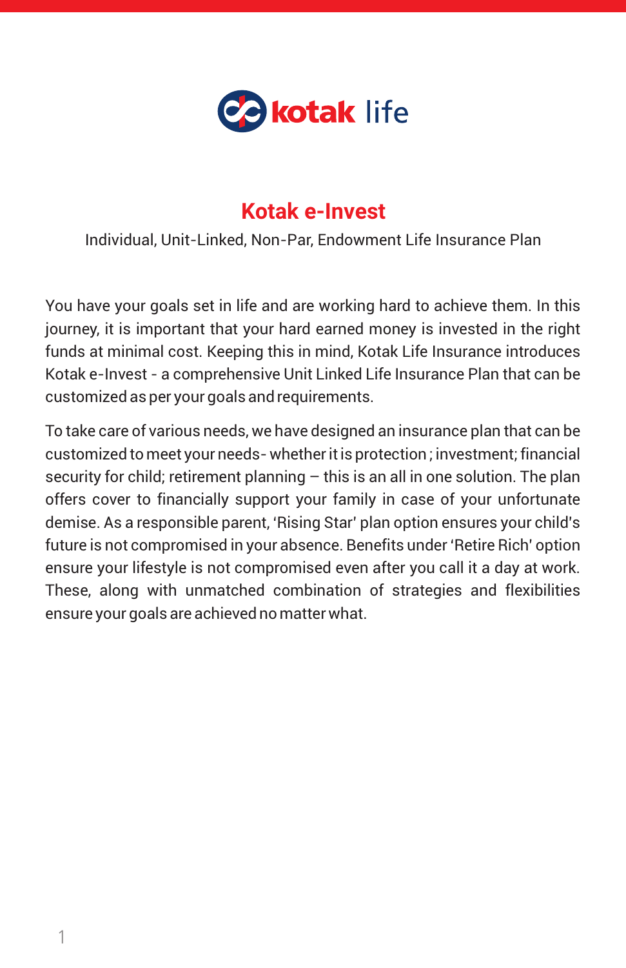

## **Kotak e-Invest**

Individual, Unit-Linked, Non-Par, Endowment Life Insurance Plan

You have your goals set in life and are working hard to achieve them. In this journey, it is important that your hard earned money is invested in the right funds at minimal cost. Keeping this in mind, Kotak Life Insurance introduces Kotak e-Invest - a comprehensive Unit Linked Life Insurance Plan that can be customized as per your goals and requirements.

To take care of various needs, we have designed an insurance plan that can be customized to meet your needs- whether it is protection ; investment; financial security for child; retirement planning  $-$  this is an all in one solution. The plan offers cover to financially support your family in case of your unfortunate demise. As a responsible parent, 'Rising Star' plan option ensures your child's future is not compromised in your absence. Benefits under 'Retire Rich' option ensure your lifestyle is not compromised even after you call it a day at work. These, along with unmatched combination of strategies and flexibilities ensure your goals are achieved no matter what.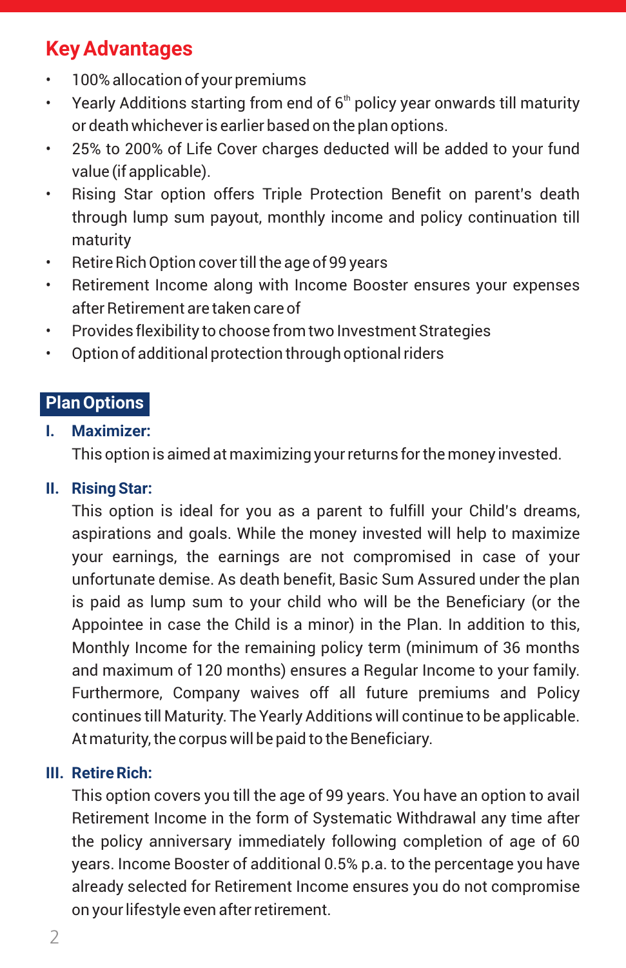# **Key Advantages**

- 100% allocation of your premiums
- Yearly Additions starting from end of  $6<sup>th</sup>$  policy year onwards till maturity or death whichever is earlier based on the plan options.
- 25% to 200% of Life Cover charges deducted will be added to your fund value (if applicable).
- Rising Star option offers Triple Protection Benefit on parent's death through lump sum payout, monthly income and policy continuation till maturity
- Retire Rich Option cover till the age of 99 years
- Retirement Income along with Income Booster ensures your expenses after Retirement are taken careof
- Provides flexibility to choose from two Investment Strategies
- Option of additional protection through optional riders

### **Plan Options**

#### **I. Maximizer:**

This option is aimed at maximizing your returns for the money invested.

#### **II. Rising Star:**

This option is ideal for you as a parent to fulfill your Child's dreams, aspirations and goals. While the money invested will help to maximize your earnings, the earnings are not compromised in case of your unfortunate demise. As death benefit, Basic Sum Assured under the plan is paid as lump sum to your child who will be the Beneficiary (or the Appointee in case the Child is a minor) in the Plan. In addition to this, Monthly Income for the remaining policy term (minimum of 36 months and maximum of 120 months) ensures a Regular Income to your family. Furthermore, Company waives off all future premiums and Policy continues till Maturity. The Yearly Additions will continue to be applicable. At maturity, the corpus will be paid to the Beneficiary.

#### **III. Retire Rich:**

This option covers you till the age of 99 years. You have an option to avail Retirement Income in the form of Systematic Withdrawal any time after the policy anniversary immediately following completion of age of 60 years. Income Booster of additional 0.5% p.a. to the percentage you have already selected for Retirement Income ensures you do not compromise on your lifestyle even after retirement.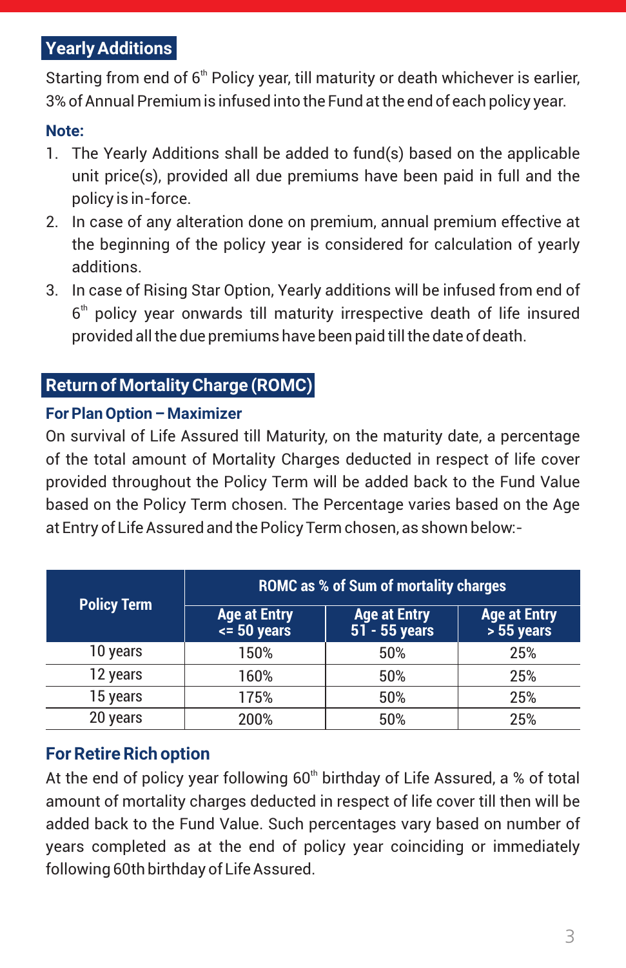### **Yearly Additions**

Starting from end of  $6<sup>th</sup>$  Policy year, till maturity or death whichever is earlier, 3% of Annual Premium is infused into the Fund at the end of each policy year.

### **Note:**

- 1. The Yearly Additions shall be added to fund(s) based on the applicable unit price(s), provided all due premiums have been paid in full and the policy is in-force.
- 2. In case of any alteration done on premium, annual premium effective at the beginning of the policy year is considered for calculation of yearly additions.
- 3. In case of Rising Star Option, Yearly additions will be infused from end of  $6<sup>th</sup>$  policy year onwards till maturity irrespective death of life insured provided all the due premiums have been paid till the date of death.

### **Return of Mortality Charge (ROMC)**

### **For Plan Option – Maximizer**

On survival of Life Assured till Maturity, on the maturity date, a percentage of the total amount of Mortality Charges deducted in respect of life cover provided throughout the Policy Term will be added back to the Fund Value based on the Policy Term chosen. The Percentage varies based on the Age at Entry of Life Assured and the Policy Term chosen, as shown below:-

| <b>Policy Term</b> | <b>ROMC as % of Sum of mortality charges</b> |                                        |                                   |  |  |  |  |
|--------------------|----------------------------------------------|----------------------------------------|-----------------------------------|--|--|--|--|
|                    | <b>Age at Entry</b><br>$\leq 50$ years       | <b>Age at Entry</b><br>$51 - 55$ years | <b>Age at Entry</b><br>$55$ years |  |  |  |  |
| 10 years           | 150%                                         | 50%                                    | 25%                               |  |  |  |  |
| 12 years           | 160%                                         | 50%                                    | 25%                               |  |  |  |  |
| 15 years           | 175%                                         | 50%                                    | 25%                               |  |  |  |  |
| 20 years           | 200%                                         | 50%                                    | 25%                               |  |  |  |  |

### **For Retire Rich option**

At the end of policy year following  $60<sup>th</sup>$  birthday of Life Assured, a % of total amount of mortality charges deducted in respect of life cover till then will be added back to the Fund Value. Such percentages vary based on number of years completed as at the end of policy year coinciding or immediately following 60th birthday of Life Assured.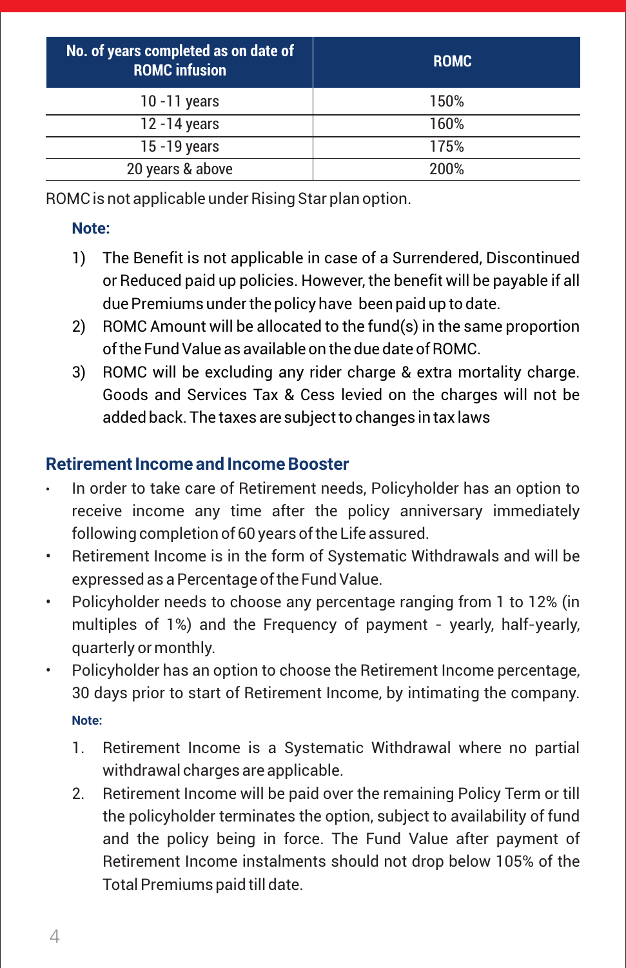| No. of years completed as on date of<br><b>ROMC</b> infusion | <b>ROMC</b> |
|--------------------------------------------------------------|-------------|
| $10 - 11$ years                                              | 150%        |
| 12 - 14 years                                                | 160%        |
| 15 - 19 years                                                | 175%        |
| 20 years & above                                             | 200%        |

ROMC is not applicable under Rising Star plan option.

### **Note:**

- 1) The Benefit is not applicable in case of a Surrendered, Discontinued or Reduced paid up policies. However, the benefit will be payable if all due Premiums under the policy have been paid up to date.
- 2) ROMC Amount will be allocated to the fund(s) in the same proportion of the Fund Value as available on the due date of ROMC.
- 3) ROMC will be excluding any rider charge & extra mortality charge. Goods and Services Tax & Cess levied on the charges will not be added back. The taxes are subject to changes in tax laws

### **Retirement Income and Income Booster**

- In order to take care of Retirement needs, Policyholder has an option to receive income any time after the policy anniversary immediately following completion of 60 years of the Life assured.
- Retirement Income is in the form of Systematic Withdrawals and will be expressed as a Percentage of the Fund Value.
- Policyholder needs to choose any percentage ranging from 1 to 12% (in multiples of 1%) and the Frequency of payment - yearly, half-yearly, quarterly or monthly.
- Policyholder has an option to choose the Retirement Income percentage, 30 days prior to start of Retirement Income, by intimating the company.

### **Note:**

- 1. Retirement Income is a Systematic Withdrawal where no partial withdrawal charges are applicable.
- 2. Retirement Income will be paid over the remaining Policy Term or till the policyholder terminates the option, subject to availability of fund and the policy being in force. The Fund Value after payment of Retirement Income instalments should not drop below 105% of the Total Premiums paid till date.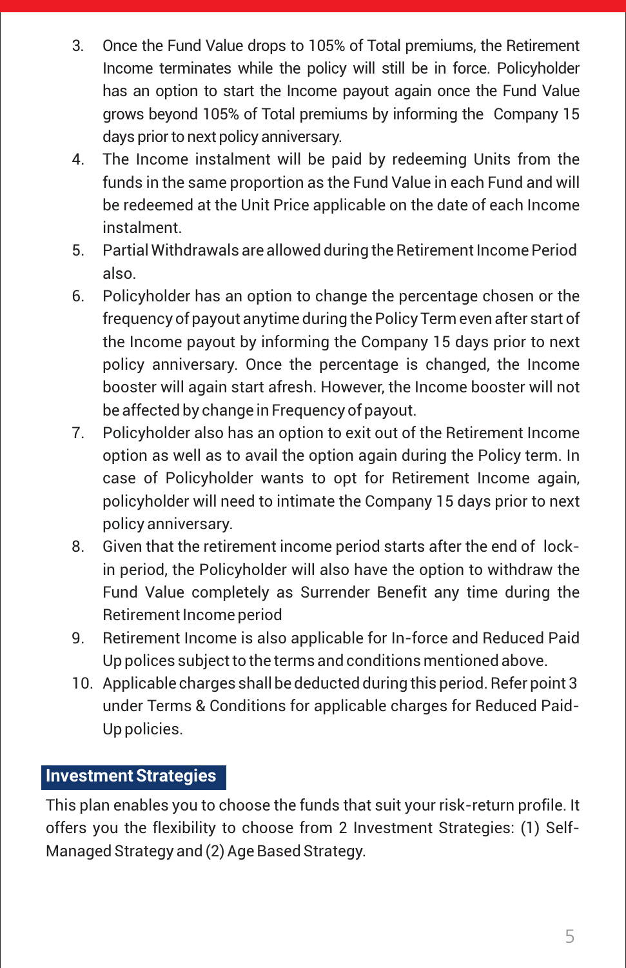- 3. Once the Fund Value drops to 105% of Total premiums, the Retirement Income terminates while the policy will still be in force. Policyholder has an option to start the Income payout again once the Fund Value grows beyond 105% of Total premiums by informing the Company 15 days prior to next policy anniversary.
- 4. The Income instalment will be paid by redeeming Units from the funds in the same proportion as the Fund Value in each Fund and will be redeemed at the Unit Price applicable on the date of each Income instalment.
- 5. Partial Withdrawals are allowed during the Retirement Income Period also.
- 6. Policyholder has an option to change the percentage chosen or the frequency of payout anytime during the Policy Term even after start of the Income payout by informing the Company 15 days prior to next policy anniversary. Once the percentage is changed, the Income booster will again start afresh. However, the Income booster will not be affected by change in Frequency of payout.
- 7. Policyholder also has an option to exit out of the Retirement Income option as well as to avail the option again during the Policy term. In case of Policyholder wants to opt for Retirement Income again, policyholder will need to intimate the Company 15 days prior to next policy anniversary.
- 8. Given that the retirement income period starts after the end of lockin period, the Policyholder will also have the option to withdraw the Fund Value completely as Surrender Benefit any time during the Retirement Income period
- 9. Retirement Income is also applicable for In-force and Reduced Paid Up polices subject to the terms and conditions mentioned above.
- 10. Applicable charges shall be deducted during this period. Refer point 3 under Terms & Conditions for applicable charges for Reduced Paid-Up policies.

### **Investment Strategies**

This plan enables you to choose the funds that suit your risk-return profile. It offers you the flexibility to choose from 2 Investment Strategies: (1) Self-Managed Strategy and (2) Age Based Strategy.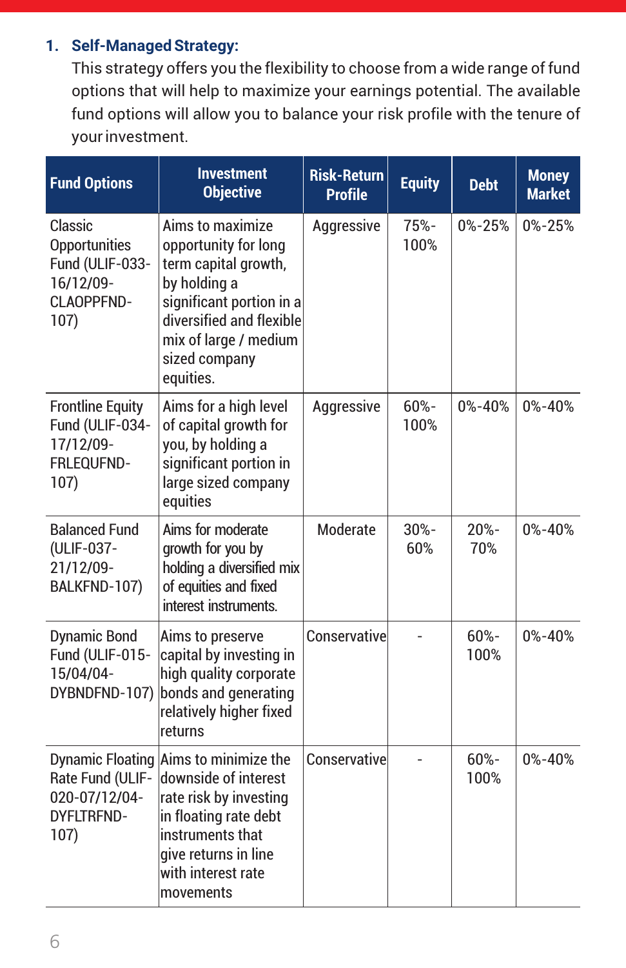### **1. Self-Managed Strategy:**

This strategy offers you the flexibility to choose from a wide range of fund options that will help to maximize your earnings potential. The available fund options will allow you to balance your risk profile with the tenure of your investment.

| <b>Fund Options</b>                                                                       | <b>Investment</b><br><b>Objective</b>                                                                                                                                                           | <b>Risk-Return</b><br><b>Profile</b> | <b>Equity</b>  | <b>Debt</b>  | <b>Money</b><br><b>Market</b> |
|-------------------------------------------------------------------------------------------|-------------------------------------------------------------------------------------------------------------------------------------------------------------------------------------------------|--------------------------------------|----------------|--------------|-------------------------------|
| Classic<br><b>Opportunities</b><br>Fund (ULIF-033-<br>16/12/09-<br>CLAOPPFND-<br>107)     | Aims to maximize<br>opportunity for long<br>term capital growth,<br>by holding a<br>significant portion in a<br>diversified and flexible<br>mix of large / medium<br>sized company<br>equities. | Aggressive                           | 75%-<br>100%   | $0\% - 25\%$ | 0%-25%                        |
| <b>Frontline Equity</b><br>Fund (ULIF-034-<br>17/12/09-<br>FRLEQUFND-<br>107)             | Aims for a high level<br>of capital growth for<br>you, by holding a<br>significant portion in<br>large sized company<br>equities                                                                | Aggressive                           | 60%-<br>100%   | 0%-40%       | 0%-40%                        |
| <b>Balanced Fund</b><br>(ULIF-037-<br>21/12/09-<br>BALKFND-107)                           | Aims for moderate<br>growth for you by<br>holding a diversified mix<br>of equities and fixed<br>interest instruments.                                                                           | Moderate                             | $30% -$<br>60% | 20%-<br>70%  | $0\% - 40\%$                  |
| <b>Dynamic Bond</b><br>Fund (ULIF-015-<br>15/04/04-<br>DYBNDFND-107)                      | Aims to preserve<br>capital by investing in<br>high quality corporate<br>bonds and generating<br>relatively higher fixed<br>returns                                                             | Conservative                         |                | 60%-<br>100% | $0\% - 40\%$                  |
| <b>Dynamic Floating</b><br>Rate Fund (ULIF-<br>020-07/12/04-<br><b>DYFLTRFND-</b><br>107) | Aims to minimize the<br>downside of interest<br>rate risk by investing<br>in floating rate debt<br>instruments that<br>give returns in line<br>with interest rate<br>movements                  | Conservative                         |                | 60%-<br>100% | $0\% - 40\%$                  |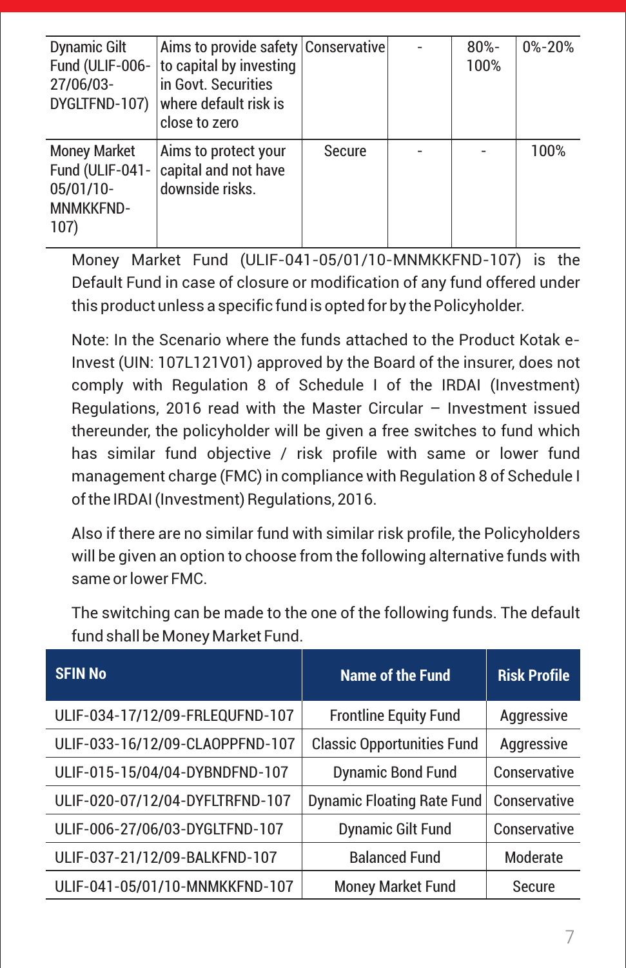| <b>Dynamic Gilt</b><br>Fund (ULIF-006-<br>27/06/03-<br>DYGLTFND-107)            | Aims to provide safety Conservative<br>to capital by investing<br>in Govt. Securities<br>where default risk is<br>close to zero |               | $80% -$<br>100% | $0\% - 20\%$ |
|---------------------------------------------------------------------------------|---------------------------------------------------------------------------------------------------------------------------------|---------------|-----------------|--------------|
| <b>Money Market</b><br>Fund (ULIF-041-<br>05/01/10-<br><b>MNMKKFND-</b><br>107) | Aims to protect your<br>capital and not have<br>downside risks.                                                                 | <b>Secure</b> |                 | 100%         |

Money Market Fund (ULIF-041-05/01/10-MNMKKFND-107) is the Default Fund in case of closure or modification of any fund offered under this product unless a specific fund is opted for by the Policyholder.

Note: In the Scenario where the funds attached to the Product Kotak e-Invest (UIN: 107L121V01) approved by the Board of the insurer, does not comply with Regulation 8 of Schedule I of the IRDAI (Investment) Regulations, 2016 read with the Master Circular  $-$  Investment issued thereunder, the policyholder will be given a free switches to fund which has similar fund objective / risk profile with same or lower fund management charge (FMC) in compliance with Regulation 8 of Schedule I of the IRDAI (Investment) Regulations, 2016.

Also if there are no similar fund with similar risk profile, the Policyholders will be given an option to choose from the following alternative funds with same or lower FMC.

| <b>SFIN No</b>                  | <b>Name of the Fund</b>           | <b>Risk Profile</b> |
|---------------------------------|-----------------------------------|---------------------|
| ULIF-034-17/12/09-FRLEQUFND-107 | <b>Frontline Equity Fund</b>      | Aggressive          |
| ULIF-033-16/12/09-CLAOPPFND-107 | <b>Classic Opportunities Fund</b> | Aggressive          |
| ULIF-015-15/04/04-DYBNDFND-107  | <b>Dynamic Bond Fund</b>          | Conservative        |
| ULIF-020-07/12/04-DYFLTRFND-107 | <b>Dynamic Floating Rate Fund</b> | Conservative        |
| ULIF-006-27/06/03-DYGLTFND-107  | <b>Dynamic Gilt Fund</b>          | Conservative        |
| ULIF-037-21/12/09-BALKFND-107   | <b>Balanced Fund</b>              | Moderate            |
| ULIF-041-05/01/10-MNMKKFND-107  | <b>Money Market Fund</b>          | Secure              |

The switching can be made to the one of the following funds. The default fund shall be Money Market Fund.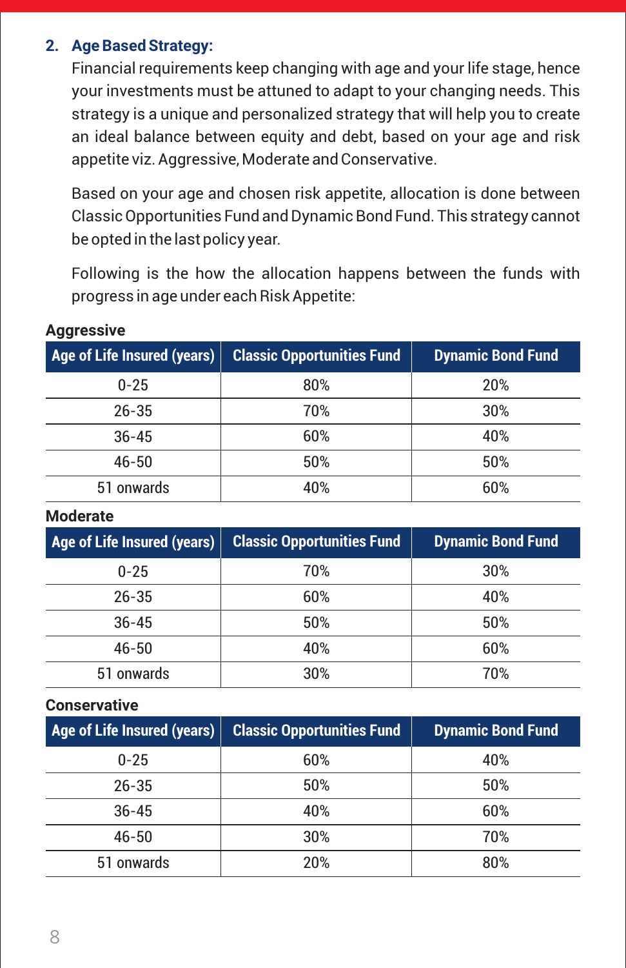### **2. Age Based Strategy:**

Financial requirements keep changing with age and your life stage, hence your investments must be attuned to adapt to your changing needs. This strategy is a unique and personalized strategy that will help you to create an ideal balance between equity and debt, based on your age and risk appetite viz. Aggressive, Moderate and Conservative.

Based on your age and chosen risk appetite, allocation is done between Classic Opportunities Fund and Dynamic Bond Fund. This strategy cannot be opted in the last policy year.

Following is the how the allocation happens between the funds with progress in age under each Risk Appetite:

| Age of Life Insured (years) | <b>Classic Opportunities Fund</b> | <b>Dynamic Bond Fund</b> |
|-----------------------------|-----------------------------------|--------------------------|
| $0 - 25$                    | 80%                               | 20%                      |
| $26 - 35$                   | 70%                               | 30%                      |
| $36 - 45$                   | 60%                               | 40%                      |
| $46 - 50$                   | 50%                               | 50%                      |
| 51 onwards                  | 40%                               | 60%                      |

### **Aggressive**

#### **Moderate**

| Age of Life Insured (years) | <b>Classic Opportunities Fund</b> | <b>Dynamic Bond Fund</b> |
|-----------------------------|-----------------------------------|--------------------------|
| $0 - 25$                    | 70%                               | 30%                      |
| $26 - 35$                   | 60%                               | 40%                      |
| $36 - 45$                   | 50%                               | 50%                      |
| $46 - 50$                   | 40%                               | 60%                      |
| 51 onwards                  | 30%                               | 70%                      |

#### **Conservative**

| Age of Life Insured (years) | <b>Classic Opportunities Fund</b> | <b>Dynamic Bond Fund</b> |
|-----------------------------|-----------------------------------|--------------------------|
| $0 - 25$                    | 60%                               | 40%                      |
| $26 - 35$                   | 50%                               | 50%                      |
| $36 - 45$                   | 40%                               | 60%                      |
| $46 - 50$                   | 30%                               | 70%                      |
| 51 onwards                  | <b>20%</b>                        | 80%                      |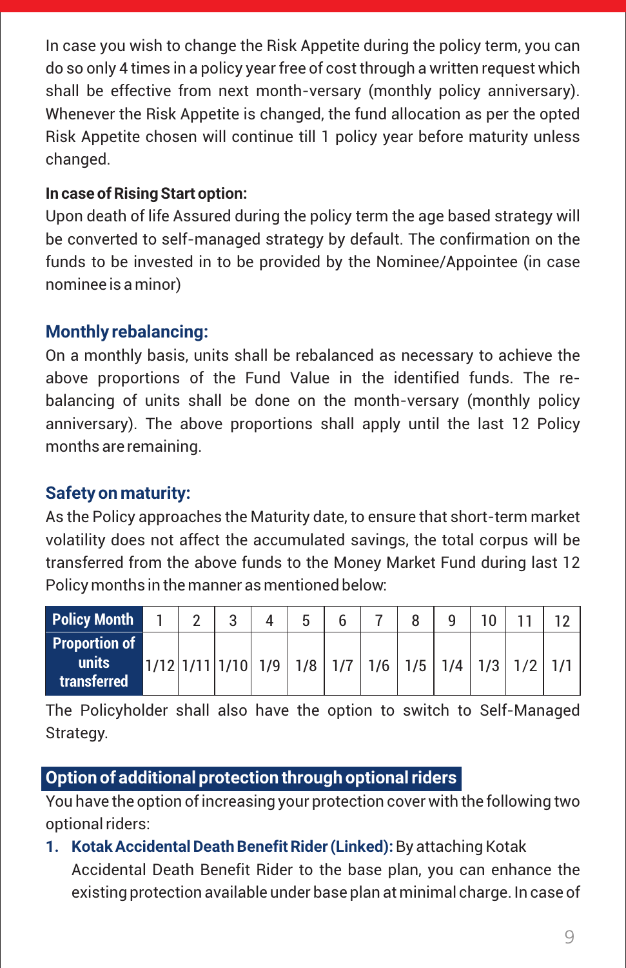In case you wish to change the Risk Appetite during the policy term, you can do so only 4 times in a policy year free of cost through a written request which shall be effective from next month-versary (monthly policy anniversary). Whenever the Risk Appetite is changed, the fund allocation as per the opted Risk Appetite chosen will continue till 1 policy year before maturity unless changed.

### **In case of Rising Start option:**

Upon death of life Assured during the policy term the age based strategy will be converted to self-managed strategy by default. The confirmation on the funds to be invested in to be provided by the Nominee/Appointee (in case nominee is a minor)

### **Monthly rebalancing:**

On a monthly basis, units shall be rebalanced as necessary to achieve the above proportions of the Fund Value in the identified funds. The rebalancing of units shall be done on the month-versary (monthly policy anniversary). The above proportions shall apply until the last 12 Policy months are remaining.

### **Safety on maturity:**

As the Policy approaches the Maturity date, to ensure that short-term market volatility does not affect the accumulated savings, the total corpus will be transferred from the above funds to the Money Market Fund during last 12 Policy months in the manner as mentioned below:

| <b>Policy Month</b>                          | $\mathcal{P}$ | c                                                              | 5 |  |  | ٦ ∩ |     |  |
|----------------------------------------------|---------------|----------------------------------------------------------------|---|--|--|-----|-----|--|
| <b>Proportion of</b><br>units<br>transferred |               | $1/12$ $1/11$ $1/10$ $1/9$ $1/8$ $1/7$ $1/6$ $1/5$ $1/4$ $1/3$ |   |  |  |     | 1/2 |  |

The Policyholder shall also have the option to switch to Self-Managed Strategy.

### **Option of additional protection through optional riders**

You have the option of increasing your protection cover with the following two optional riders:

**1. Kotak Accidental Death Benefit Rider (Linked):** By attaching Kotak Accidental Death Benefit Rider to the base plan, you can enhance the existing protection available under base plan at minimal charge. In case of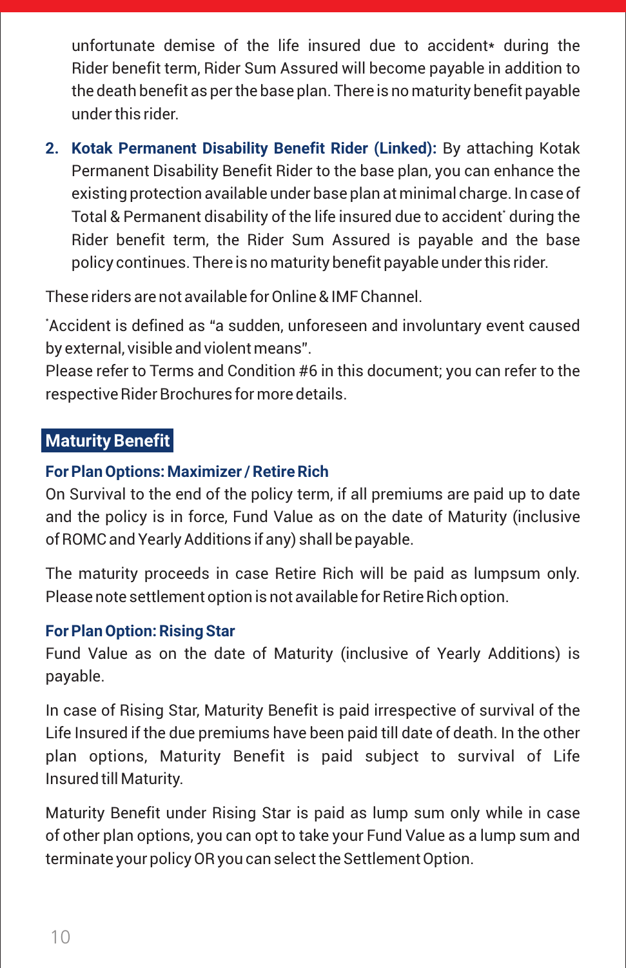unfortunate demise of the life insured due to accident\* during the Rider benefit term, Rider Sum Assured will become payable in addition to the death benefit as per the base plan. There is no maturity benefit payable under this rider.

**2. Kotak Permanent Disability Benefit Rider (Linked):** By attaching Kotak Permanent Disability Benefit Rider to the base plan, you can enhance the existing protection available under base plan at minimal charge. In case of Total & Permanent disability of the life insured due to accident' during the Rider benefit term, the Rider Sum Assured is payable and the base policy continues. There is no maturity benefit payable under this rider.

These riders are not available for Online & IMF Channel.

\* Accident is defined as "a sudden, unforeseen and involuntary event caused by external, visible and violent means".

Please refer to Terms and Condition #6 in this document; you can refer to the respective Rider Brochures for more details.

### **Maturity Benefit**

#### **For Plan Options: Maximizer / Retire Rich**

On Survival to the end of the policy term, if all premiums are paid up to date and the policy is in force, Fund Value as on the date of Maturity (inclusive of ROMC and Yearly Additions if any) shall be payable.

The maturity proceeds in case Retire Rich will be paid as lumpsum only. Please note settlement option is not available for Retire Rich option.

#### **For Plan Option: Rising Star**

Fund Value as on the date of Maturity (inclusive of Yearly Additions) is payable.

In case of Rising Star, Maturity Benefit is paid irrespective of survival of the Life Insured if the due premiums have been paid till date of death. In the other plan options, Maturity Benefit is paid subject to survival of Life Insured till Maturity.

Maturity Benefit under Rising Star is paid as lump sum only while in case of other plan options, you can opt to take your Fund Value as a lump sum and terminate your policy OR you can select the Settlement Option.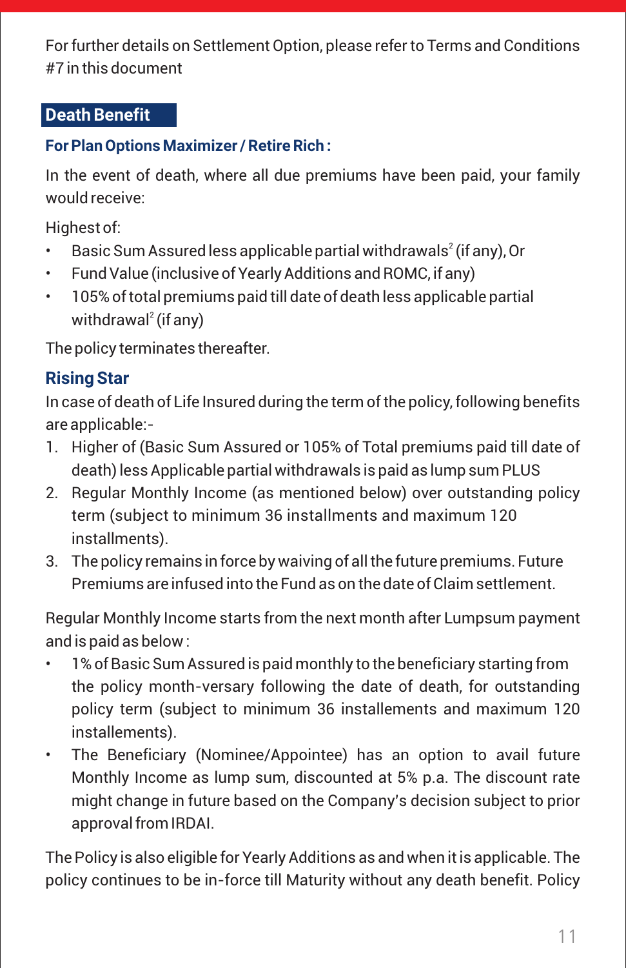For further details on Settlement Option, please refer to Terms and Conditions #7 in this document

### **Death Benefit**

### **For Plan Options Maximizer / Retire Rich :**

In the event of death, where all due premiums have been paid, your family would receive:

Highest of:

- Basic Sum Assured less applicable partial withdrawals $^2$  (if any), Or
- Fund Value (inclusive of Yearly Additions and ROMC, if any)
- 105% of total premiums paid till date of death less applicable partial withdrawal<sup>2</sup> (if any)

The policy terminates thereafter.

# **Rising Star**

In case of death of Life Insured during the term of the policy, following benefits are applicable:-

- 1. Higher of (Basic Sum Assured or 105% of Total premiums paid till date of death) less Applicable partial withdrawals is paid as lump sum PLUS
- 2. Regular Monthly Income (as mentioned below) over outstanding policy term (subject to minimum 36 installments and maximum 120 installments).
- 3. The policy remains in force by waiving of all the future premiums. Future Premiums are infused into the Fund as on the date of Claim settlement.

Regular Monthly Income starts from the next month after Lumpsum payment and is paid as below :

- 1% of Basic Sum Assured is paid monthly to the beneficiary starting from the policy month-versary following the date of death, for outstanding policy term (subject to minimum 36 installements and maximum 120 installements).
- The Beneficiary (Nominee/Appointee) has an option to avail future Monthly Income as lump sum, discounted at 5% p.a. The discount rate might change in future based on the Company's decision subject to prior approval from IRDAI.

The Policy is also eligible for Yearly Additions as and when it is applicable. The policy continues to be in-force till Maturity without any death benefit. Policy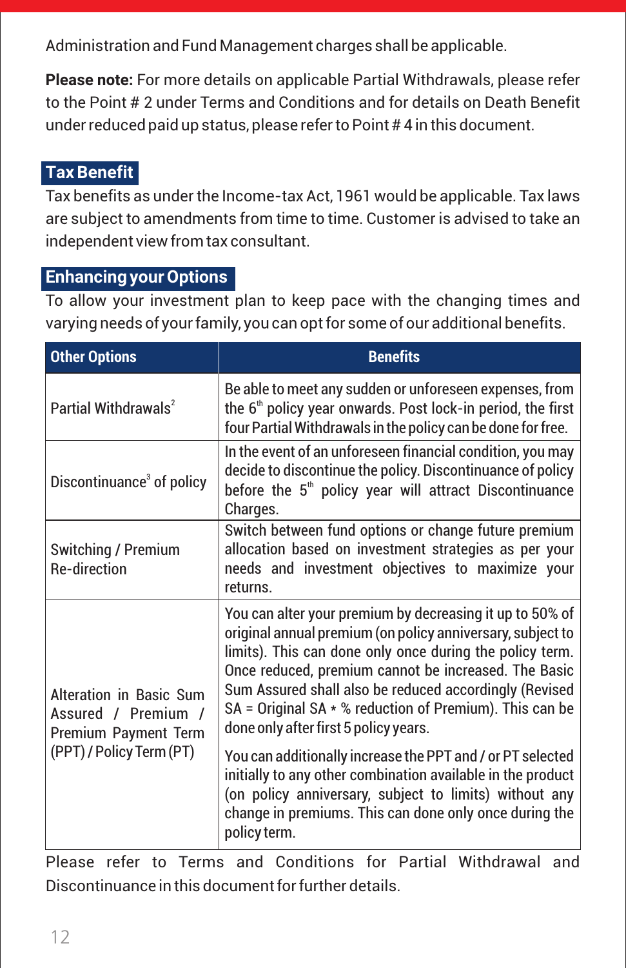Administration and Fund Management charges shall be applicable.

**Please note:** For more details on applicable Partial Withdrawals, please refer to the Point # 2 under Terms and Conditions and for details on Death Benefit under reduced paid up status, please refer to Point # 4 in this document.

### **Tax Benefit**

Tax benefits as under the Income-tax Act, 1961 would be applicable. Tax laws are subject to amendments from time to time. Customer is advised to take an independent view from tax consultant.

### **Enhancing your Options**

To allow your investment plan to keep pace with the changing times and varying needs of your family, you can opt for some of our additional benefits.

| <b>Other Options</b>                                                   | <b>Benefits</b>                                                                                                                                                                                                                                                                                                                                                                                            |
|------------------------------------------------------------------------|------------------------------------------------------------------------------------------------------------------------------------------------------------------------------------------------------------------------------------------------------------------------------------------------------------------------------------------------------------------------------------------------------------|
| Partial Withdrawals <sup>2</sup>                                       | Be able to meet any sudden or unforeseen expenses, from<br>the 6 <sup>th</sup> policy year onwards. Post lock-in period, the first<br>four Partial Withdrawals in the policy can be done for free.                                                                                                                                                                                                         |
| Discontinuance <sup>3</sup> of policy                                  | In the event of an unforeseen financial condition, you may<br>decide to discontinue the policy. Discontinuance of policy<br>before the 5 <sup>th</sup> policy year will attract Discontinuance<br>Charges.                                                                                                                                                                                                 |
| <b>Switching / Premium</b><br><b>Re-direction</b>                      | Switch between fund options or change future premium<br>allocation based on investment strategies as per your<br>needs and investment objectives to maximize your<br>returns                                                                                                                                                                                                                               |
| Alteration in Basic Sum<br>Assured / Premium /<br>Premium Payment Term | You can alter your premium by decreasing it up to 50% of<br>original annual premium (on policy anniversary, subject to<br>limits). This can done only once during the policy term.<br>Once reduced, premium cannot be increased. The Basic<br>Sum Assured shall also be reduced accordingly (Revised<br>SA = Original SA $*$ % reduction of Premium). This can be<br>done only after first 5 policy years. |
| (PPT) / Policy Term (PT)                                               | You can additionally increase the PPT and / or PT selected<br>initially to any other combination available in the product<br>(on policy anniversary, subject to limits) without any<br>change in premiums. This can done only once during the<br>policy term.                                                                                                                                              |

Please refer to Terms and Conditions for Partial Withdrawal and Discontinuance in this document for further details.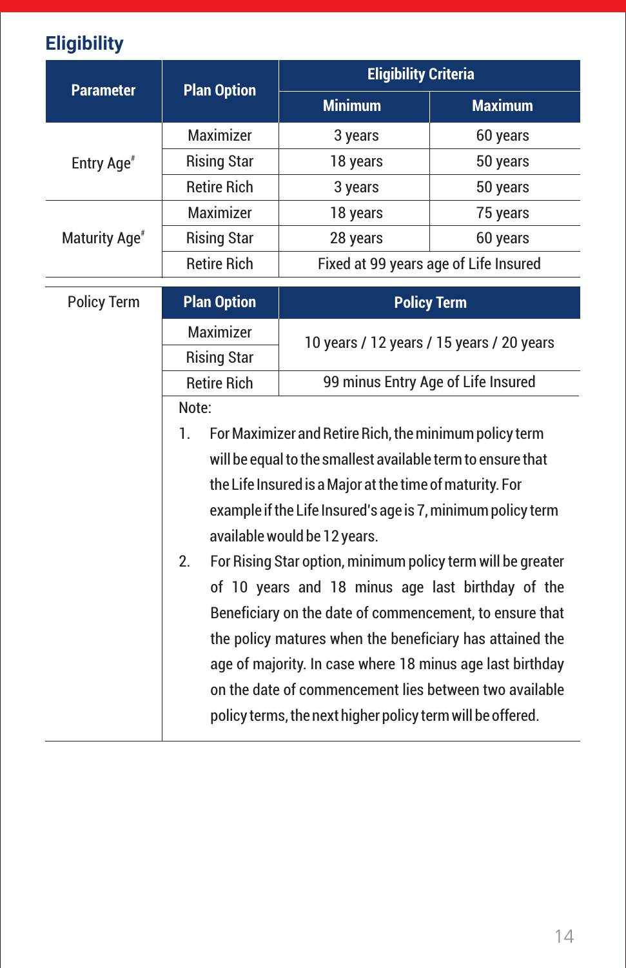# **Eligibility**

| <b>Parameter</b>          | <b>Plan Option</b>                                                                                                    | <b>Eligibility Criteria</b>                                 |                                       |  |  |  |
|---------------------------|-----------------------------------------------------------------------------------------------------------------------|-------------------------------------------------------------|---------------------------------------|--|--|--|
|                           |                                                                                                                       | <b>Minimum</b>                                              | <b>Maximum</b>                        |  |  |  |
|                           | Maximizer                                                                                                             | 3 years                                                     | 60 years                              |  |  |  |
| Entry Age <sup>#</sup>    | <b>Rising Star</b>                                                                                                    | 18 years                                                    | 50 years                              |  |  |  |
|                           | <b>Retire Rich</b>                                                                                                    | 3 years                                                     | 50 years                              |  |  |  |
|                           | <b>Maximizer</b>                                                                                                      | 18 years                                                    | 75 years                              |  |  |  |
| Maturity Age <sup>#</sup> | <b>Rising Star</b>                                                                                                    | 28 years                                                    | 60 years                              |  |  |  |
|                           | <b>Retire Rich</b>                                                                                                    |                                                             | Fixed at 99 years age of Life Insured |  |  |  |
| <b>Policy Term</b>        | <b>Plan Option</b>                                                                                                    |                                                             | <b>Policy Term</b>                    |  |  |  |
|                           | Maximizer                                                                                                             | 10 years / 12 years / 15 years / 20 years                   |                                       |  |  |  |
|                           | <b>Rising Star</b>                                                                                                    |                                                             |                                       |  |  |  |
|                           | <b>Retire Rich</b>                                                                                                    | 99 minus Entry Age of Life Insured                          |                                       |  |  |  |
|                           | Note:                                                                                                                 |                                                             |                                       |  |  |  |
|                           | 1.                                                                                                                    | For Maximizer and Retire Rich, the minimum policy term      |                                       |  |  |  |
|                           |                                                                                                                       | will be equal to the smallest available term to ensure that |                                       |  |  |  |
|                           |                                                                                                                       | the Life Insured is a Major at the time of maturity. For    |                                       |  |  |  |
|                           |                                                                                                                       | example if the Life Insured's age is 7, minimum policy term |                                       |  |  |  |
|                           |                                                                                                                       | available would be 12 years.                                |                                       |  |  |  |
|                           | 2 <sub>1</sub>                                                                                                        | For Rising Star option, minimum policy term will be greater |                                       |  |  |  |
|                           |                                                                                                                       | of 10 years and 18 minus age last birthday of the           |                                       |  |  |  |
|                           |                                                                                                                       | Beneficiary on the date of commencement, to ensure that     |                                       |  |  |  |
|                           | the policy matures when the beneficiary has attained the<br>age of majority. In case where 18 minus age last birthday |                                                             |                                       |  |  |  |
|                           |                                                                                                                       |                                                             |                                       |  |  |  |
|                           |                                                                                                                       | on the date of commencement lies between two available      |                                       |  |  |  |
|                           |                                                                                                                       | policy terms, the next higher policy term will be offered.  |                                       |  |  |  |
|                           |                                                                                                                       |                                                             |                                       |  |  |  |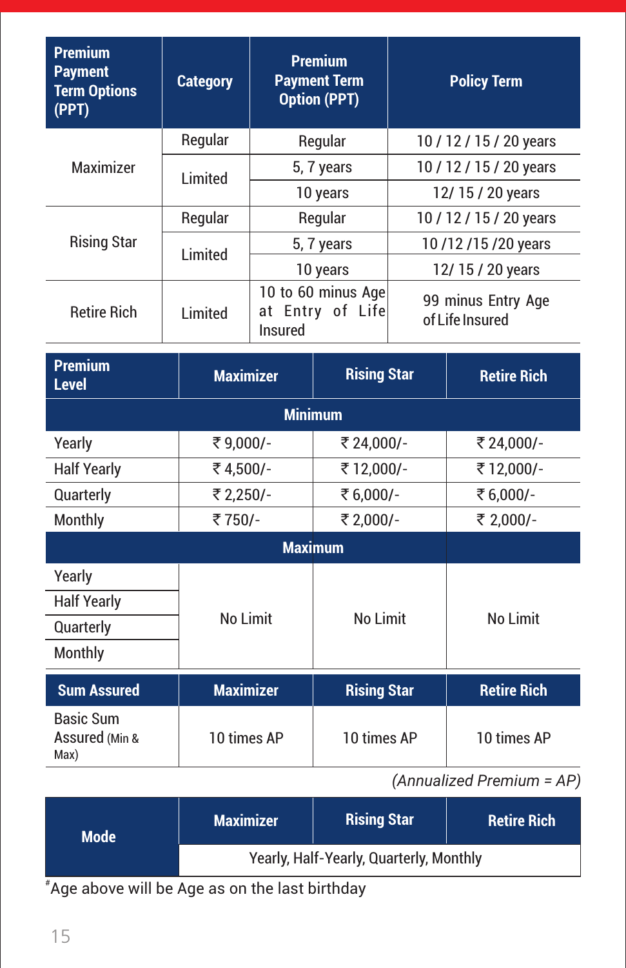| <b>Premium</b><br><b>Payment</b><br><b>Term Options</b><br>(PPT) | <b>Category</b>  | <b>Premium</b><br><b>Payment Term</b><br><b>Option (PPT)</b> |                    |                                       | <b>Policy Term</b>      |  |
|------------------------------------------------------------------|------------------|--------------------------------------------------------------|--------------------|---------------------------------------|-------------------------|--|
|                                                                  | Regular          |                                                              | Regular            |                                       | 10 / 12 / 15 / 20 years |  |
| Maximizer                                                        | Limited          |                                                              | 5, 7 years         |                                       | 10 / 12 / 15 / 20 years |  |
|                                                                  |                  |                                                              | 10 years           |                                       | 12/15/20 years          |  |
|                                                                  | Regular          |                                                              | Regular            |                                       | 10 / 12 / 15 / 20 years |  |
| <b>Rising Star</b>                                               | Limited          |                                                              | 5, 7 years         |                                       | 10/12/15/20 years       |  |
|                                                                  |                  |                                                              | 10 years           |                                       | 12/15/20 years          |  |
| <b>Retire Rich</b>                                               | Limited          | 10 to 60 minus Age<br>at Entry of Life<br><b>Insured</b>     |                    | 99 minus Entry Age<br>of Life Insured |                         |  |
| <b>Premium</b><br><b>Level</b>                                   | <b>Maximizer</b> |                                                              | <b>Rising Star</b> |                                       | <b>Retire Rich</b>      |  |
|                                                                  |                  | <b>Minimum</b>                                               |                    |                                       |                         |  |
| Yearly                                                           | ₹9,000/-         |                                                              | ₹ 24,000/-         |                                       | ₹ 24,000/-              |  |
| <b>Half Yearly</b>                                               | ₹4,500/-         |                                                              | ₹12,000/-          |                                       | ₹12,000/-               |  |
| Quarterly                                                        | ₹ 2,250/-        |                                                              | ₹6,000/-           |                                       | ₹6,000/-                |  |
| Monthly                                                          | ₹750/-           |                                                              | ₹ 2,000/-          |                                       | ₹ 2,000/-               |  |
|                                                                  |                  |                                                              | <b>Maximum</b>     |                                       |                         |  |
| Yearly                                                           |                  |                                                              |                    |                                       |                         |  |
| <b>Half Yearly</b>                                               |                  |                                                              |                    |                                       |                         |  |
| Quarterly                                                        | No Limit         |                                                              | No Limit           |                                       | No Limit                |  |
| Monthly                                                          |                  |                                                              |                    |                                       |                         |  |
| <b>Sum Assured</b>                                               | <b>Maximizer</b> |                                                              | <b>Rising Star</b> |                                       | <b>Retire Rich</b>      |  |
| <b>Basic Sum</b><br>Assured (Min &<br>Max)                       | 10 times AP      |                                                              | 10 times AP        |                                       | 10 times AP             |  |

### *(Annualized Premium = AP)*

| <b>Mode</b> | <b>Maximizer</b>                        | <b>Rising Star</b> | <b>Retire Rich</b> |  |
|-------------|-----------------------------------------|--------------------|--------------------|--|
|             | Yearly, Half-Yearly, Quarterly, Monthly |                    |                    |  |
|             |                                         |                    |                    |  |

# Age above will be Age as on the last birthday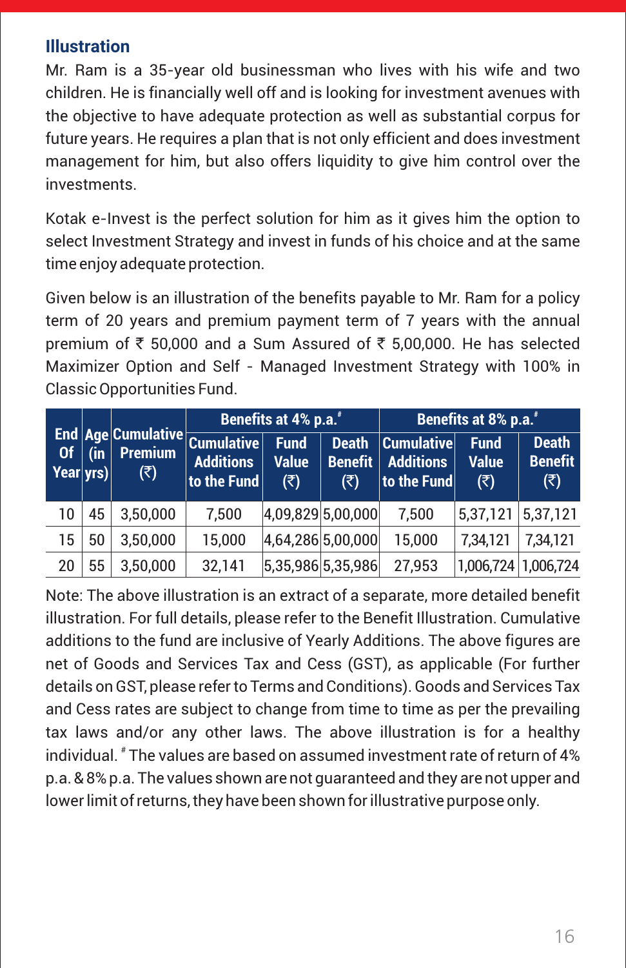### **Illustration**

Mr. Ram is a 35-year old businessman who lives with his wife and two children. He is financially well off and is looking for investment avenues with the objective to have adequate protection as well as substantial corpus for future years. He requires a plan that is not only efficient and does investment management for him, but also offers liquidity to give him control over the investments.

Kotak e-Invest is the perfect solution for him as it gives him the option to select Investment Strategy and invest in funds of his choice and at the same time enjoy adequate protection.

Given below is an illustration of the benefits payable to Mr. Ram for a policy term of 20 years and premium payment term of 7 years with the annual premium of  $\bar{\tau}$  50,000 and a Sum Assured of  $\bar{\tau}$  5,00,000. He has selected Maximizer Option and Self - Managed Investment Strategy with 100% in Classic Opportunities Fund.

| End Age Cumulative Cumulative |     |                                   | Benefits at 4% p.a.*            |                                                           |                                                        | Benefits at 8% p.a. <sup>#</sup>                      |                                                |                                                        |
|-------------------------------|-----|-----------------------------------|---------------------------------|-----------------------------------------------------------|--------------------------------------------------------|-------------------------------------------------------|------------------------------------------------|--------------------------------------------------------|
| <b>Of</b><br>Year yrs         | (in | <b>Premium</b><br>$(\bar{\zeta})$ | <b>Additions</b><br>to the Fund | Fund <sup>1</sup><br><b>Value</b><br>$(\overline{\zeta})$ | <b>Death</b><br><b>Benefit</b><br>$(\overline{\zeta})$ | $ $ Cumulative $ $<br><b>Additions</b><br>to the Fund | <b>Fund</b><br><b>Value</b><br>$(\bar{\zeta})$ | <b>Death</b><br><b>Benefit</b><br>$(\overline{\zeta})$ |
| 10                            | 45  | 3,50,000                          | 7,500                           |                                                           | 4,09,829 5,00,000                                      | 7,500                                                 | 5,37,121                                       | 5,37,121                                               |
| 15                            | 50  | 3,50,000                          | 15,000                          |                                                           | 4,64,286 5,00,000                                      | 15,000                                                | 7,34,121                                       | 7,34,121                                               |
| 20                            | 55  | 3,50,000                          | 32,141                          |                                                           | 5,35,986 5,35,986                                      | 27,953                                                | 1,006,724                                      | 1,006,724                                              |

Note: The above illustration is an extract of a separate, more detailed benefit illustration. For full details, please refer to the Benefit Illustration. Cumulative additions to the fund are inclusive of Yearly Additions. The above figures are net of Goods and Services Tax and Cess (GST), as applicable (For further details on GST, please refer to Terms and Conditions). Goods and Services Tax and Cess rates are subject to change from time to time as per the prevailing tax laws and/or any other laws. The above illustration is for a healthy individual.  $^*$  The values are based on assumed investment rate of return of 4% p.a. & 8% p.a. The values shown are not guaranteed and they are not upper and lower limit of returns, they have been shown for illustrative purpose only.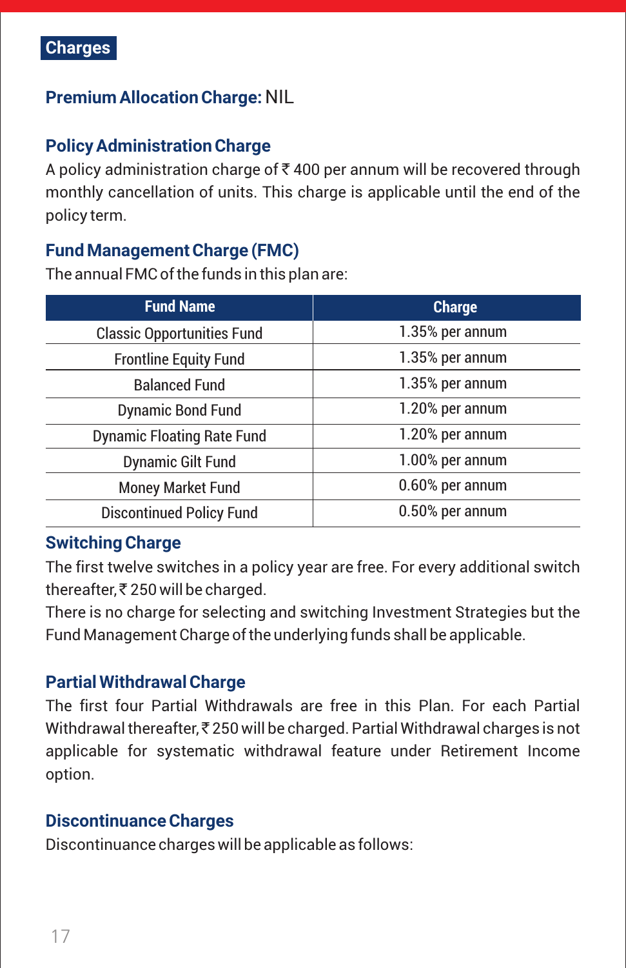

### **Premium Allocation Charge:** NIL

### **Policy Administration Charge**

A policy administration charge of  $\bar{\tau}$  400 per annum will be recovered through monthly cancellation of units. This charge is applicable until the end of the policy term.

### **Fund Management Charge (FMC)**

The annual FMC of the funds in this plan are:

| <b>Fund Name</b>                  | <b>Charge</b>   |  |
|-----------------------------------|-----------------|--|
| <b>Classic Opportunities Fund</b> | 1.35% per annum |  |
| <b>Frontline Equity Fund</b>      | 1.35% per annum |  |
| <b>Balanced Fund</b>              | 1.35% per annum |  |
| <b>Dynamic Bond Fund</b>          | 1.20% per annum |  |
| <b>Dynamic Floating Rate Fund</b> | 1.20% per annum |  |
| <b>Dynamic Gilt Fund</b>          | 1.00% per annum |  |
| <b>Money Market Fund</b>          | 0.60% per annum |  |
| <b>Discontinued Policy Fund</b>   | 0.50% per annum |  |

### **Switching Charge**

The first twelve switches in a policy year are free. For every additional switch thereafter,  $\bar{\tau}$  250 will be charged.

There is no charge for selecting and switching Investment Strategies but the Fund Management Charge of the underlying funds shall be applicable.

#### **Partial Withdrawal Charge**

The first four Partial Withdrawals are free in this Plan. For each Partial Withdrawal thereafter,  $\bar{\tau}$  250 will be charged. Partial Withdrawal charges is not applicable for systematic withdrawal feature under Retirement Income option.

#### **Discontinuance Charges**

Discontinuance charges will be applicable as follows: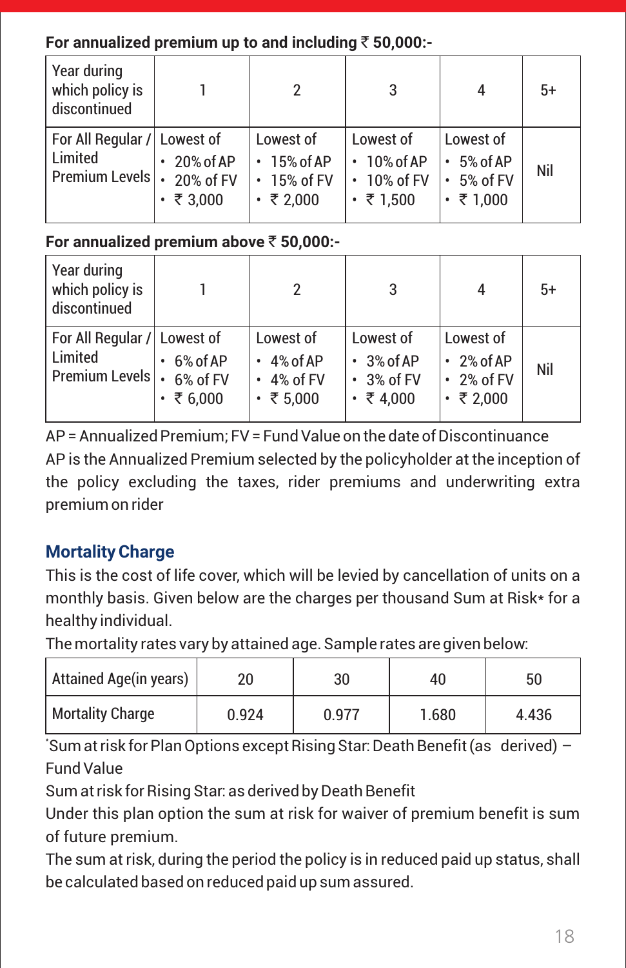### **For annualized premium up to and including** ` **50,000:-**

| Year during<br>which policy is<br>discontinued           |                                           |                                                                        | 3                                                                      | 4                                                                    | $5+$ |
|----------------------------------------------------------|-------------------------------------------|------------------------------------------------------------------------|------------------------------------------------------------------------|----------------------------------------------------------------------|------|
| For All Regular / Lowest of<br>Limited<br>Premium Levels | 20% of AP<br>20% of FV<br>$\cdot$ ₹ 3,000 | Lowest of<br>$\cdot$ 15% of AP<br>$\cdot$ 15% of FV<br>$\cdot$ ₹ 2,000 | Lowest of<br>$\cdot$ 10% of AP<br>$\cdot$ 10% of FV<br>$\cdot$ ₹ 1,500 | Lowest of<br>$\cdot$ 5% of AP<br>$\cdot$ 5% of FV<br>$\cdot$ ₹ 1,000 | Nil  |

### **For annualized premium above** ` **50,000:-**

| Year during<br>which policy is<br>discontinued               |                                         |                                                                           | 3                                                                        | 4                                                                    | $5+$ |
|--------------------------------------------------------------|-----------------------------------------|---------------------------------------------------------------------------|--------------------------------------------------------------------------|----------------------------------------------------------------------|------|
| For All Regular / Lowest of<br>Limited<br>Premium Levels   . | 6% of AP<br>6% of FV<br>$\cdot$ ₹ 6,000 | Lowest of<br>$\cdot$ 4% of AP<br>4% of FV<br>$\bullet$<br>$\cdot$ ₹ 5,000 | Lowest of<br>$\cdot$ 3% of AP<br>$\cdot$ 3% of FV<br>₹4,000<br>$\bullet$ | Lowest of<br>$\cdot$ 2% of AP<br>$\cdot$ 2% of FV<br>$\cdot$ ₹ 2,000 | Nil  |

AP = Annualized Premium; FV = Fund Value on the date of Discontinuance AP is the Annualized Premium selected by the policyholder at the inception of the policy excluding the taxes, rider premiums and underwriting extra premium on rider

### **Mortality Charge**

This is the cost of life cover, which will be levied by cancellation of units on a monthly basis. Given below are the charges per thousand Sum at Risk\* for a healthy individual.

The mortality rates vary by attained age. Sample rates are given below:

| <b>Attained Age(in years)</b> | 20    | 30    | 40    | 50    |
|-------------------------------|-------|-------|-------|-------|
| <b>Mortality Charge</b>       | 0.924 | 0.977 | 1.680 | 4.436 |

\* Sum at risk for Plan Options except Rising Star: Death Benefit (as derived) – Fund Value

Sum at risk for Rising Star: as derived by Death Benefit

Under this plan option the sum at risk for waiver of premium benefit is sum of future premium.

The sum at risk, during the period the policy is in reduced paid up status, shall be calculated based on reduced paid up sum assured.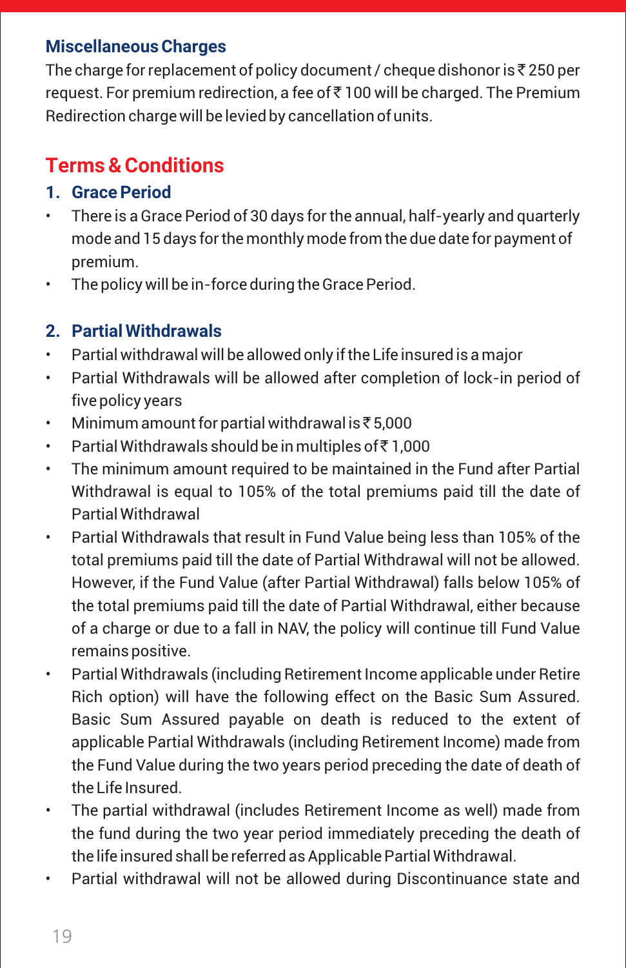### **Miscellaneous Charges**

The charge for replacement of policy document / cheque dishonor is  $\bar{\mathfrak{r}}$  250 per request. For premium redirection, a fee of₹ 100 will be charged. The Premium Redirection charge will be levied by cancellation of units.

# **Terms & Conditions**

### **1. Grace Period**

- There is a Grace Period of 30 days for the annual, half-yearly and quarterly mode and 15 days for the monthly mode from the due date for payment of premium.
- The policy will be in-force during the Grace Period.

### **2. Partial Withdrawals**

- Partial withdrawal will be allowed only if the Life insured is a major
- Partial Withdrawals will be allowed after completion of lock-in period of five policy years
- Minimum amount for partial withdrawal is  $\bar{\bar{\epsilon}}$  5,000
- Partial Withdrawals should be in multiples of  $\bar{\bar{\tau}}$  1,000
- The minimum amount required to be maintained in the Fund after Partial Withdrawal is equal to 105% of the total premiums paid till the date of Partial Withdrawal
- Partial Withdrawals that result in Fund Value being less than 105% of the total premiums paid till the date of Partial Withdrawal will not be allowed. However, if the Fund Value (after Partial Withdrawal) falls below 105% of the total premiums paid till the date of Partial Withdrawal, either because of a charge or due to a fall in NAV, the policy will continue till Fund Value remains positive.
- Partial Withdrawals (including Retirement Income applicable under Retire Rich option) will have the following effect on the Basic Sum Assured. Basic Sum Assured payable on death is reduced to the extent of applicable Partial Withdrawals (including Retirement Income) made from the Fund Value during the two years period preceding the date of death of the Life Insured.
- The partial withdrawal (includes Retirement Income as well) made from the fund during the two year period immediately preceding the death of the life insured shall be referred as Applicable Partial Withdrawal.
- Partial withdrawal will not be allowed during Discontinuance state and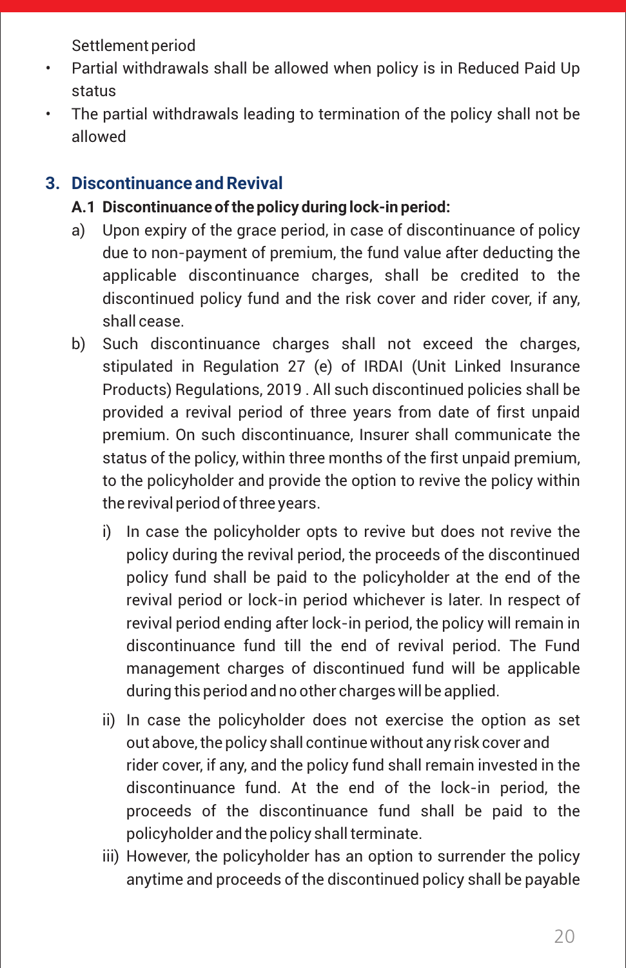Settlement period

- Partial withdrawals shall be allowed when policy is in Reduced Paid Up status
- The partial withdrawals leading to termination of the policy shall not be allowed

### **3. Discontinuance and Revival**

- **A.1 Discontinuance of the policy during lock-in period:**
- a) Upon expiry of the grace period, in case of discontinuance of policy due to non-payment of premium, the fund value after deducting the applicable discontinuance charges, shall be credited to the discontinued policy fund and the risk cover and rider cover, if any, shall cease.
- b) Such discontinuance charges shall not exceed the charges, stipulated in Regulation 27 (e) of IRDAI (Unit Linked Insurance Products) Regulations, 2019 . All such discontinued policies shall be provided a revival period of three years from date of first unpaid premium. On such discontinuance, Insurer shall communicate the status of the policy, within three months of the first unpaid premium, to the policyholder and provide the option to revive the policy within the revival period of three years.
	- i) In case the policyholder opts to revive but does not revive the policy during the revival period, the proceeds of the discontinued policy fund shall be paid to the policyholder at the end of the revival period or lock-in period whichever is later. In respect of revival period ending after lock-in period, the policy will remain in discontinuance fund till the end of revival period. The Fund management charges of discontinued fund will be applicable during this period and no other charges will be applied.
	- ii) In case the policyholder does not exercise the option as set out above, the policy shall continue without any risk cover and rider cover, if any, and the policy fund shall remain invested in the discontinuance fund. At the end of the lock-in period, the proceeds of the discontinuance fund shall be paid to the policyholder and the policy shall terminate.
	- iii) However, the policyholder has an option to surrender the policy anytime and proceeds of the discontinued policy shall be payable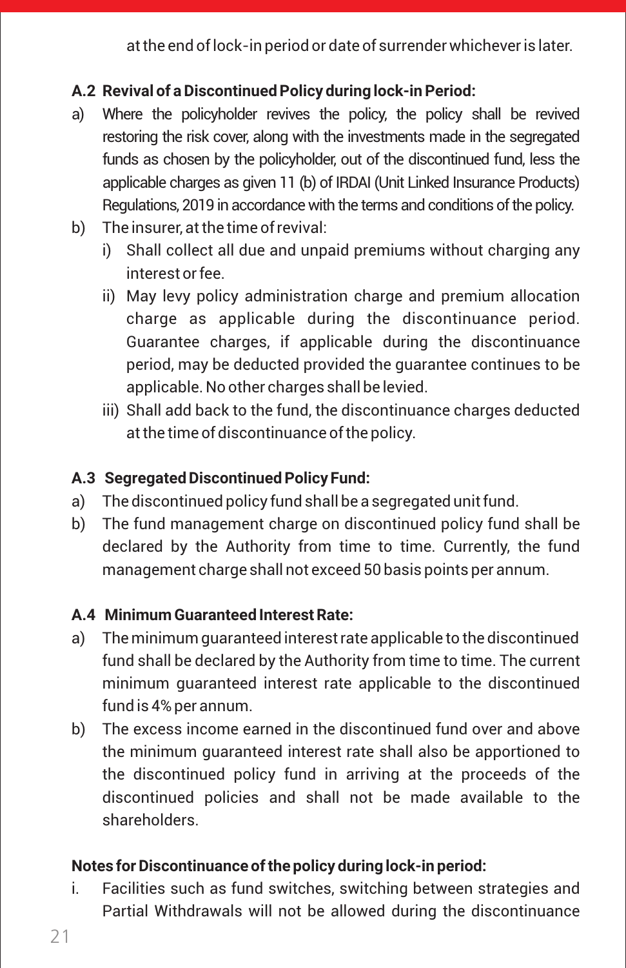at the end of lock-in period or date of surrender whichever is later.

### **A.2 Revival of a Discontinued Policy during lock-in Period:**

- a) Where the policyholder revives the policy, the policy shall be revived restoring the risk cover, along with the investments made in the segregated funds as chosen by the policyholder, out of the discontinued fund, less the applicable charges as given 11 (b) of IRDAI (Unit Linked Insurance Products) Regulations, 2019 in accordance with the terms and conditions of the policy.
- b) The insurer, at the time of revival:
	- i) Shall collect all due and unpaid premiums without charging any interestor fee.
	- ii) May levy policy administration charge and premium allocation charge as applicable during the discontinuance period. Guarantee charges, if applicable during the discontinuance period, may be deducted provided the guarantee continues to be applicable. No other charges shall be levied.
	- iii) Shall add back to the fund, the discontinuance charges deducted at the time of discontinuance of the policy.

### **A.3 Segregated Discontinued Policy Fund:**

- a) The discontinued policy fund shall be a segregated unit fund.
- b) The fund management charge on discontinued policy fund shall be declared by the Authority from time to time. Currently, the fund management charge shall not exceed 50 basis points per annum.

### **A.4 Minimum Guaranteed Interest Rate:**

- a) The minimum guaranteed interestrate applicable to the discontinued fund shall be declared by the Authority from time to time. The current minimum guaranteed interest rate applicable to the discontinued fund is 4% per annum.
- b) The excess income earned in the discontinued fund over and above the minimum guaranteed interest rate shall also be apportioned to the discontinued policy fund in arriving at the proceeds of the discontinued policies and shall not be made available to the shareholders.

### **Notes for Discontinuance of the policy during lock-in period:**

i. Facilities such as fund switches, switching between strategies and Partial Withdrawals will not be allowed during the discontinuance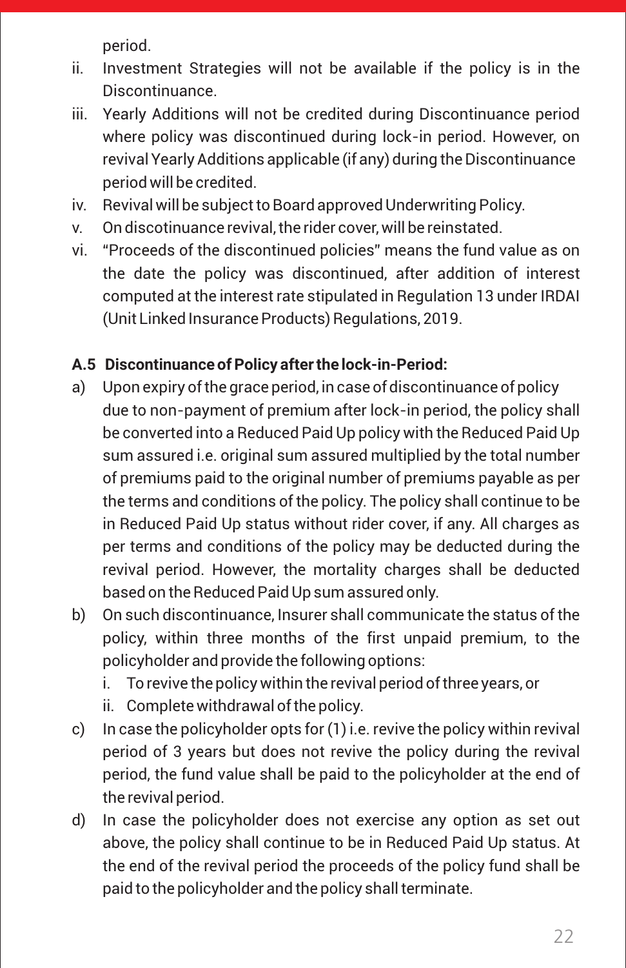period.

- ii. Investment Strategies will not be available if the policy is in the Discontinuance.
- iii. Yearly Additions will not be credited during Discontinuance period where policy was discontinued during lock-in period. However, on revival Yearly Additions applicable (if any) during the Discontinuance period will be credited.
- iv. Revival will be subject to Board approved Underwriting Policy.
- v. On discotinuance revival, the rider cover, will be reinstated.
- vi. "Proceeds of the discontinued policies" means the fund value as on the date the policy was discontinued, after addition of interest computed at the interest rate stipulated in Regulation 13 under IRDAI (Unit Linked Insurance Products) Regulations, 2019.

### **A.5 Discontinuance of Policy after the lock-in-Period:**

- a) Upon expiry of the grace period, in case of discontinuance of policy due to non-payment of premium after lock-in period, the policy shall be converted into a Reduced Paid Up policy with the Reduced Paid Up sum assured i.e. original sum assured multiplied by the total number of premiums paid to the original number of premiums payable as per the terms and conditions of the policy. The policy shall continue to be in Reduced Paid Up status without rider cover, if any. All charges as per terms and conditions of the policy may be deducted during the revival period. However, the mortality charges shall be deducted based on the Reduced Paid Up sum assured only.
- b) On such discontinuance, Insurer shall communicate the status of the policy, within three months of the first unpaid premium, to the policyholder and provide the following options:
	- i. To revive the policy within the revival period of three years, or
	- ii. Complete withdrawal of the policy.
- c) In case the policyholder opts for (1) i.e. revive the policy within revival period of 3 years but does not revive the policy during the revival period, the fund value shall be paid to the policyholder at the end of the revival period.
- d) In case the policyholder does not exercise any option as set out above, the policy shall continue to be in Reduced Paid Up status. At the end of the revival period the proceeds of the policy fund shall be paid to the policyholder and the policy shall terminate.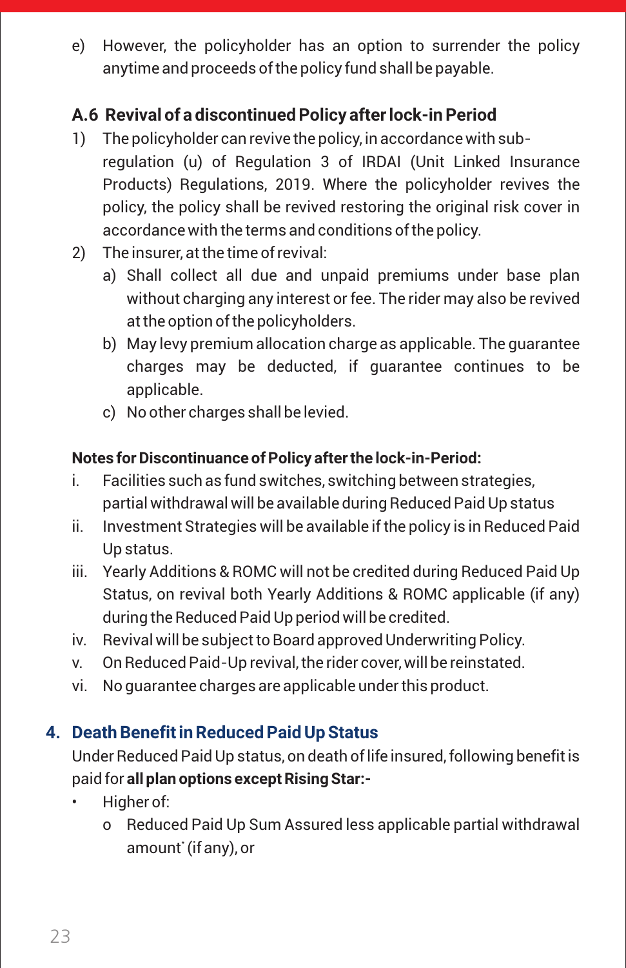e) However, the policyholder has an option to surrender the policy anytime and proceeds of the policy fund shall be payable.

### **A.6 Revival of a discontinued Policy after lock-in Period**

- 1) The policyholder can revive the policy, in accordancewith subregulation (u) of Regulation 3 of IRDAI (Unit Linked Insurance Products) Regulations, 2019. Where the policyholder revives the policy, the policy shall be revived restoring the original risk cover in accordancewith the terms and conditions of the policy.
- 2) The insurer, at the time of revival:
	- a) Shall collect all due and unpaid premiums under base plan without charging any interest or fee. The rider may also be revived at the option of the policyholders.
	- b) May levy premium allocation charge as applicable. The guarantee charges may be deducted, if guarantee continues to be applicable.
	- c) No other charges shall be levied.

### **Notes for Discontinuance of Policy after the lock-in-Period:**

- i. Facilities such as fund switches, switching between strategies, partial withdrawal will be available during Reduced Paid Up status
- ii. Investment Strategies will be available if the policy is in Reduced Paid Up status.
- iii. Yearly Additions & ROMC will not be credited during Reduced Paid Up Status, on revival both Yearly Additions & ROMC applicable (if any) during the Reduced Paid Up period will be credited.
- iv. Revival will be subject to Board approved Underwriting Policy.
- v. On Reduced Paid-Up revival, the rider cover, will be reinstated.
- vi. No guarantee charges are applicable under this product.

### **4. Death Benefit in Reduced Paid Up Status**

Under Reduced Paid Up status, on death of life insured, following benefit is paid for **all plan options except Rising Star:-**

- Higher of:
	- o Reduced Paid Up Sum Assured less applicable partial withdrawal amount' (if any), or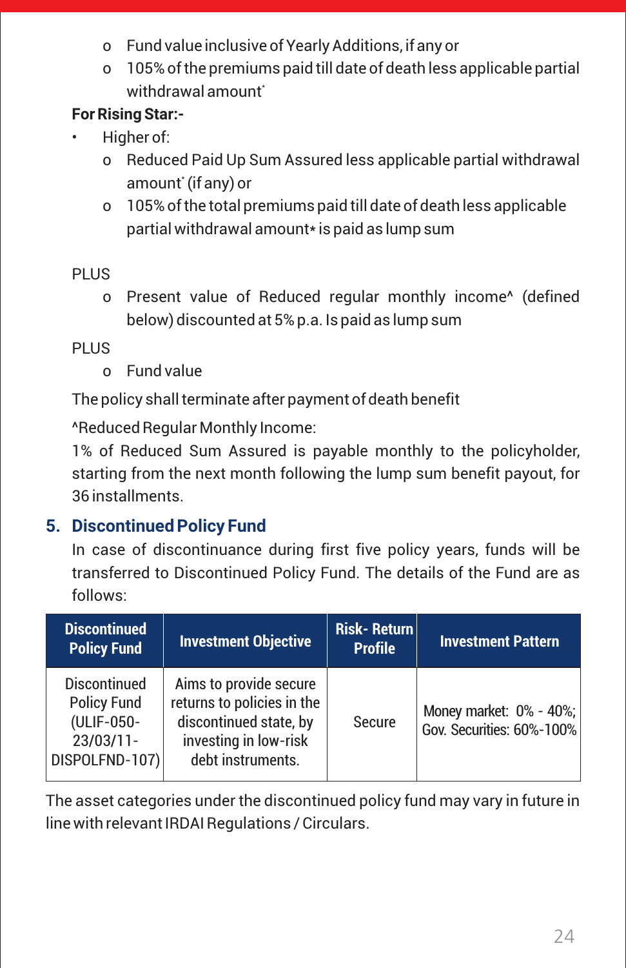- o Fund value inclusive of Yearly Additions, if any or
- o 105% of the premiums paid till date of death less applicable partial withdrawal amount<sup>\*</sup>

### **For Rising Star:-**

- Higher of:
	- o Reduced Paid Up Sum Assured less applicable partial withdrawal amount' (if any) or
	- o 105% of the total premiums paid till date of death less applicable partial withdrawal amount\* is paid as lump sum

### PLUS.

o Present value of Reduced regular monthly income^ (defined below) discounted at 5% p.a. Is paid as lump sum

### PLUS.

o Fund value

The policy shall terminate after payment of death benefit

^Reduced Regular Monthly Income:

1% of Reduced Sum Assured is payable monthly to the policyholder, starting from the next month following the lump sum benefit payout, for 36 installments.

### **5. Discontinued Policy Fund**

In case of discontinuance during first five policy years, funds will be transferred to Discontinued Policy Fund. The details of the Fund are as follows:

| <b>Discontinued</b><br><b>Policy Fund</b>                                                 | <b>Investment Objective</b>                                                                                                  | <b>Risk-Return</b><br><b>Profile</b> | <b>Investment Pattern</b>                            |
|-------------------------------------------------------------------------------------------|------------------------------------------------------------------------------------------------------------------------------|--------------------------------------|------------------------------------------------------|
| <b>Discontinued</b><br><b>Policy Fund</b><br>(ULIF-050-<br>$23/03/11 -$<br>DISPOLFND-107) | Aims to provide secure<br>returns to policies in the<br>discontinued state, by<br>investing in low-risk<br>debt instruments. | Secure                               | Money market: 0% - 40%;<br>Gov. Securities: 60%-100% |

The asset categories under the discontinued policy fund may vary in future in line with relevant IRDAI Regulations / Circulars.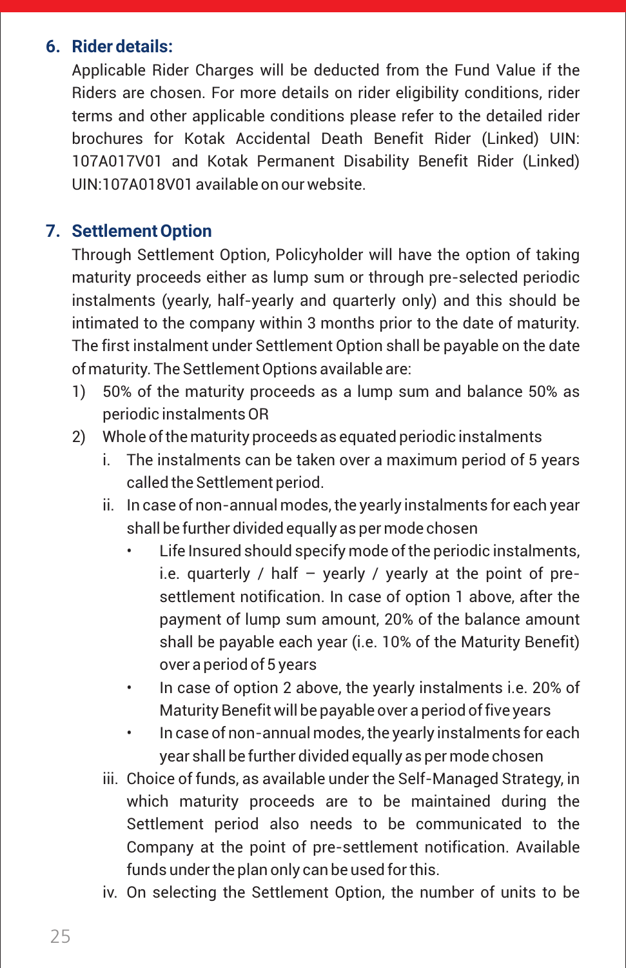### **6. Rider details:**

Applicable Rider Charges will be deducted from the Fund Value if the Riders are chosen. For more details on rider eligibility conditions, rider terms and other applicable conditions please refer to the detailed rider brochures for Kotak Accidental Death Benefit Rider (Linked) UIN: 107A017V01 and Kotak Permanent Disability Benefit Rider (Linked) UIN:107A018V01 available on our website.

### **7. Settlement Option**

Through Settlement Option, Policyholder will have the option of taking maturity proceeds either as lump sum or through pre-selected periodic instalments (yearly, half-yearly and quarterly only) and this should be intimated to the company within 3 months prior to the date of maturity. The first instalment under Settlement Option shall be payable on the date of maturity. The Settlement Options available are:

- 1) 50% of the maturity proceeds as a lump sum and balance 50% as periodic instalments OR
- 2) Whole of the maturity proceeds as equated periodic instalments
	- i. The instalments can be taken over a maximum period of 5 years called the Settlement period.
	- ii. In case of non-annual modes, the yearly instalments for each year shall be further divided equally as per mode chosen
		- Life Insured should specify mode of the periodic instalments, i.e. quarterly / half  $-$  yearly / yearly at the point of presettlement notification. In case of option 1 above, after the payment of lump sum amount, 20% of the balance amount shall be payable each year (i.e. 10% of the Maturity Benefit) over a period of 5 years
		- In case of option 2 above, the yearly instalments i.e. 20% of Maturity Benefit will be payable over a period of five years
		- In case of non-annual modes, the yearly instalments for each year shall be further divided equally as per mode chosen
	- iii. Choice of funds, as available under the Self-Managed Strategy, in which maturity proceeds are to be maintained during the Settlement period also needs to be communicated to the Company at the point of pre-settlement notification. Available funds under the plan only can be used for this.
	- iv. On selecting the Settlement Option, the number of units to be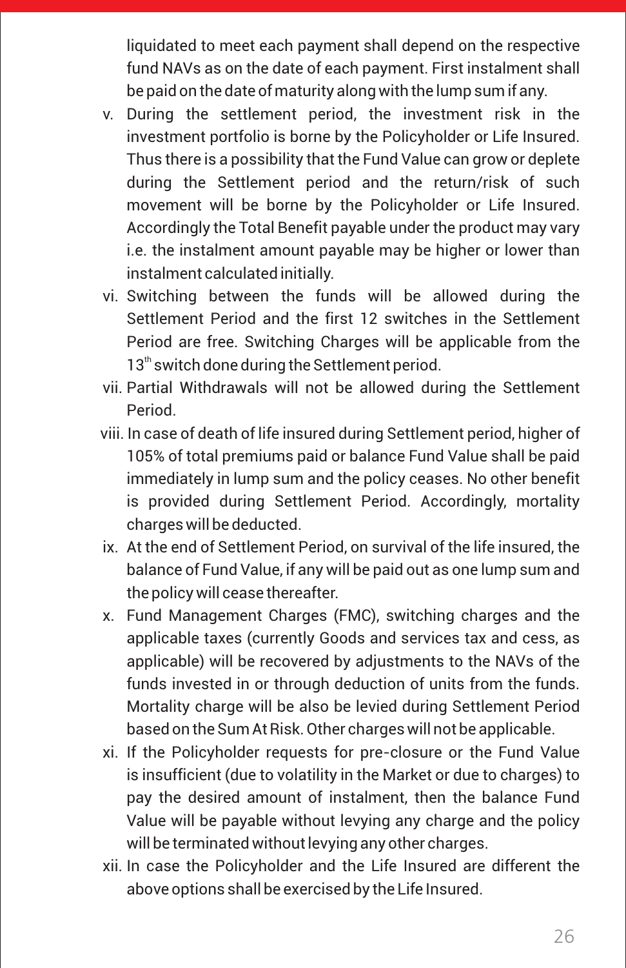liquidated to meet each payment shall depend on the respective fund NAVs as on the date of each payment. First instalment shall be paid on the date of maturity along with the lump sum if any.

- v. During the settlement period, the investment risk in the investment portfolio is borne by the Policyholder or Life Insured. Thus there is a possibility that the Fund Value can grow or deplete during the Settlement period and the return/risk of such movement will be borne by the Policyholder or Life Insured. Accordingly the Total Benefit payable under the product may vary i.e. the instalment amount payable may be higher or lower than instalment calculated initially.
- vi. Switching between the funds will be allowed during the Settlement Period and the first 12 switches in the Settlement Period are free. Switching Charges will be applicable from the  $13<sup>th</sup>$  switch done during the Settlement period.
- vii. Partial Withdrawals will not be allowed during the Settlement Period.
- viii. In case of death of life insured during Settlement period, higher of 105% of total premiums paid or balance Fund Value shall be paid immediately in lump sum and the policy ceases. No other benefit is provided during Settlement Period. Accordingly, mortality charges will be deducted.
- ix. At the end of Settlement Period, on survival of the life insured, the balance of Fund Value, if any will be paid out as one lump sum and the policy will cease thereafter.
- x. Fund Management Charges (FMC), switching charges and the applicable taxes (currently Goods and services tax and cess, as applicable) will be recovered by adjustments to the NAVs of the funds invested in or through deduction of units from the funds. Mortality charge will be also be levied during Settlement Period based on the Sum At Risk. Other charges will not be applicable.
- xi. If the Policyholder requests for pre-closure or the Fund Value is insufficient (due to volatility in the Market or due to charges) to pay the desired amount of instalment, then the balance Fund Value will be payable without levying any charge and the policy will be terminated without levying any other charges.
- xii. In case the Policyholder and the Life Insured are different the above options shall be exercised by the Life Insured.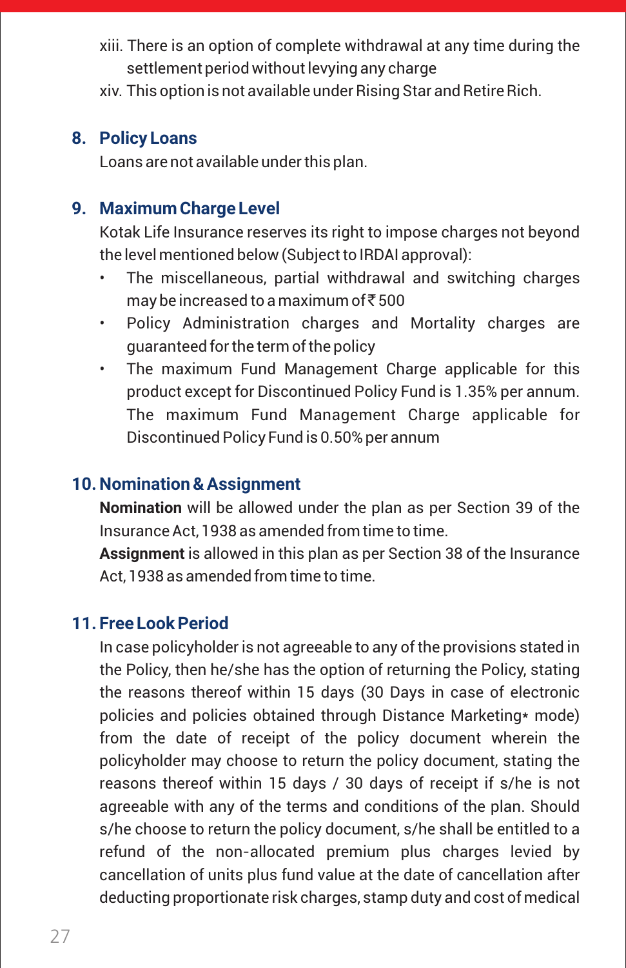- xiii. There is an option of complete withdrawal at any time during the settlement period without levying any charge
- xiv. This option is not available under Rising Star and Retire Rich.

### **8. Policy Loans**

Loans are not available under this plan.

### **9. Maximum Charge Level**

Kotak Life Insurance reserves its right to impose charges not beyond the level mentioned below (Subject to IRDAI approval):

- The miscellaneous, partial withdrawal and switching charges may be increased to a maximum of  $\bar{\bar{\tau}}$  500
- Policy Administration charges and Mortality charges are guaranteed for the term of the policy
- The maximum Fund Management Charge applicable for this product except for Discontinued Policy Fund is 1.35% per annum. The maximum Fund Management Charge applicable for Discontinued Policy Fund is 0.50% per annum

### **10. Nomination & Assignment**

**Nomination** will be allowed under the plan as per Section 39 of the Insurance Act, 1938 as amended from time to time.

**Assignment** is allowed in this plan as per Section 38 of the Insurance Act, 1938 as amended from time to time.

#### **11. Free Look Period**

In case policyholder is not agreeable to any of the provisions stated in the Policy, then he/she has the option of returning the Policy, stating the reasons thereof within 15 days (30 Days in case of electronic policies and policies obtained through Distance Marketing\* mode) from the date of receipt of the policy document wherein the policyholder may choose to return the policy document, stating the reasons thereof within 15 days / 30 days of receipt if s/he is not agreeable with any of the terms and conditions of the plan. Should s/he choose to return the policy document, s/he shall be entitled to a refund of the non-allocated premium plus charges levied by cancellation of units plus fund value at the date of cancellation after deducting proportionate risk charges, stamp duty and cost of medical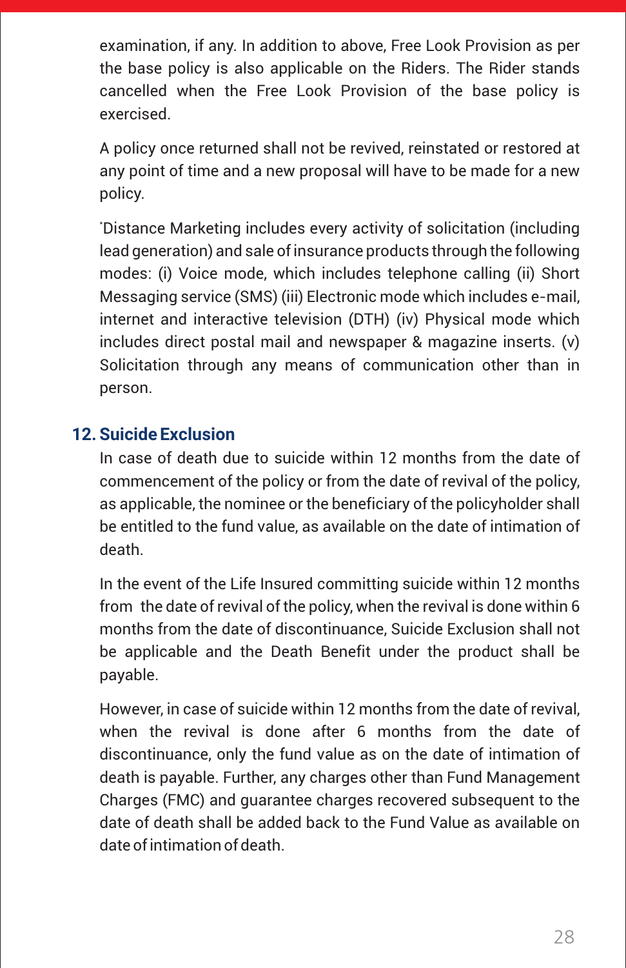examination, if any. In addition to above, Free Look Provision as per the base policy is also applicable on the Riders. The Rider stands cancelled when the Free Look Provision of the base policy is exercised.

A policy once returned shall not be revived, reinstated or restored at any point of time and a new proposal will have to be made for a new policy.

\*Distance Marketing includes every activity of solicitation (including lead generation) and sale of insurance products through the following modes: (i) Voice mode, which includes telephone calling (ii) Short Messaging service (SMS) (iii) Electronic mode which includes e-mail, internet and interactive television (DTH) (iv) Physical mode which includes direct postal mail and newspaper & magazine inserts. (v) Solicitation through any means of communication other than in person.

### **12. Suicide Exclusion**

In case of death due to suicide within 12 months from the date of commencement of the policy or from the date of revival of the policy, as applicable, the nominee or the beneficiary of the policyholder shall be entitled to the fund value, as available on the date of intimation of death.

In the event of the Life Insured committing suicide within 12 months from the date of revival of the policy, when the revival is done within 6 months from the date of discontinuance, Suicide Exclusion shall not be applicable and the Death Benefit under the product shall be payable.

However, in case of suicide within 12 months from the date of revival, when the revival is done after 6 months from the date of discontinuance, only the fund value as on the date of intimation of death is payable. Further, any charges other than Fund Management Charges (FMC) and guarantee charges recovered subsequent to the date of death shall be added back to the Fund Value as available on date of intimation of death.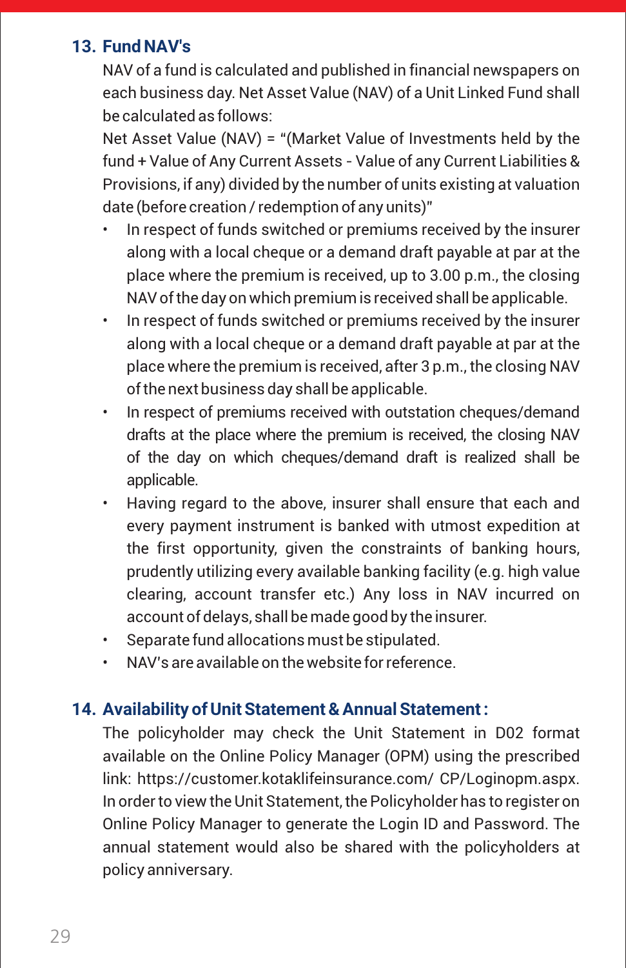### **13. Fund NAV's**

NAV of a fund is calculated and published in financial newspapers on each business day. Net Asset Value (NAV) of a Unit Linked Fund shall be calculated as follows:

Net Asset Value (NAV) = "(Market Value of Investments held by the fund + Value of Any Current Assets - Value of any Current Liabilities & Provisions, if any) divided by the number of units existing at valuation date (before creation / redemption of any units)"

- In respect of funds switched or premiums received by the insurer along with a local cheque or a demand draft payable at par at the place where the premium is received, up to 3.00 p.m., the closing NAV of the day on which premium is received shall be applicable.
- In respect of funds switched or premiums received by the insurer along with a local cheque or a demand draft payable at par at the place where the premium is received, after 3 p.m., the closing NAV of the next business day shall be applicable.
- In respect of premiums received with outstation cheques/demand drafts at the place where the premium is received, the closing NAV of the day on which cheques/demand draft is realized shall be applicable.
- Having regard to the above, insurer shall ensure that each and every payment instrument is banked with utmost expedition at the first opportunity, given the constraints of banking hours, prudently utilizing every available banking facility (e.g. high value clearing, account transfer etc.) Any loss in NAV incurred on account of delays, shall be made good by the insurer.
- Separate fund allocations must be stipulated.
- NAV's are available on the website for reference.

### **14. Availability of Unit Statement & Annual Statement :**

The policyholder may check the Unit Statement in D02 format available on the Online Policy Manager (OPM) using the prescribed link: https://customer.kotaklifeinsurance.com/ CP/Loginopm.aspx. In order to view the Unit Statement, the Policyholder has to register on Online Policy Manager to generate the Login ID and Password. The annual statement would also be shared with the policyholders at policy anniversary.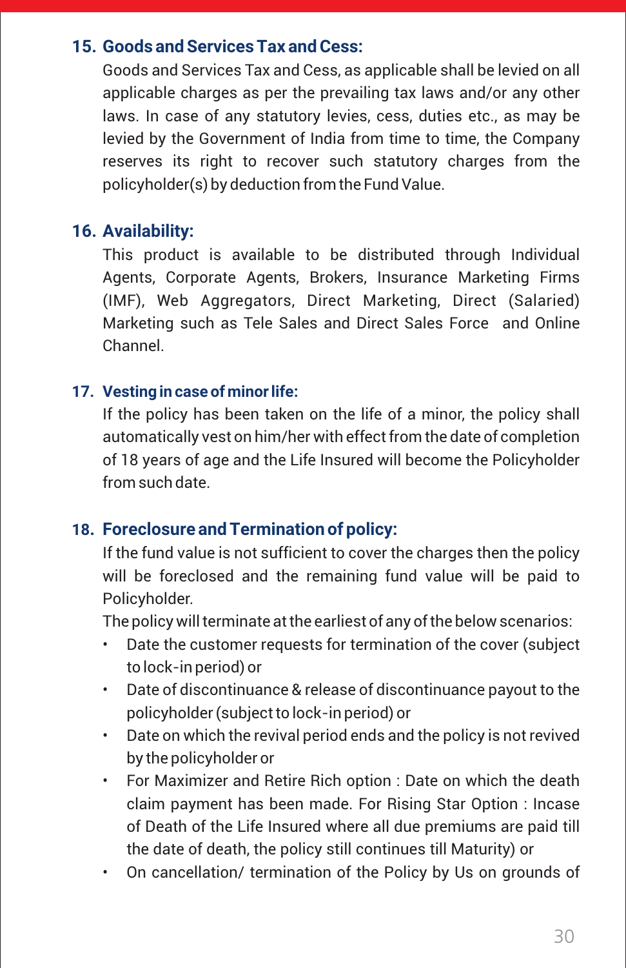### **15. Goods and Services Tax and Cess:**

Goods and Services Tax and Cess, as applicable shall be levied on all applicable charges as per the prevailing tax laws and/or any other laws. In case of any statutory levies, cess, duties etc., as may be levied by the Government of India from time to time, the Company reserves its right to recover such statutory charges from the policyholder(s) by deduction from the Fund Value.

### **16. Availability:**

This product is available to be distributed through Individual Agents, Corporate Agents, Brokers, Insurance Marketing Firms (IMF), Web Aggregators, Direct Marketing, Direct (Salaried) Marketing such as Tele Sales and Direct Sales Force and Online Channel.

#### **17. Vesting in case of minor life:**

If the policy has been taken on the life of a minor, the policy shall automatically vest on him/her with effect from the date of completion of 18 years of age and the Life Insured will become the Policyholder from such date.

### **18. Foreclosure and Termination of policy:**

If the fund value is not sufficient to cover the charges then the policy will be foreclosed and the remaining fund value will be paid to Policyholder.

The policy will terminate at the earliest of any of the below scenarios:

- Date the customer requests for termination of the cover (subject to lock-in period) or
- Date of discontinuance & release of discontinuance payout to the policyholder (subject to lock-in period) or
- Date on which the revival period ends and the policy is not revived by the policyholder or
- For Maximizer and Retire Rich option : Date on which the death claim payment has been made. For Rising Star Option : Incase of Death of the Life Insured where all due premiums are paid till the date of death, the policy still continues till Maturity) or
- On cancellation/ termination of the Policy by Us on grounds of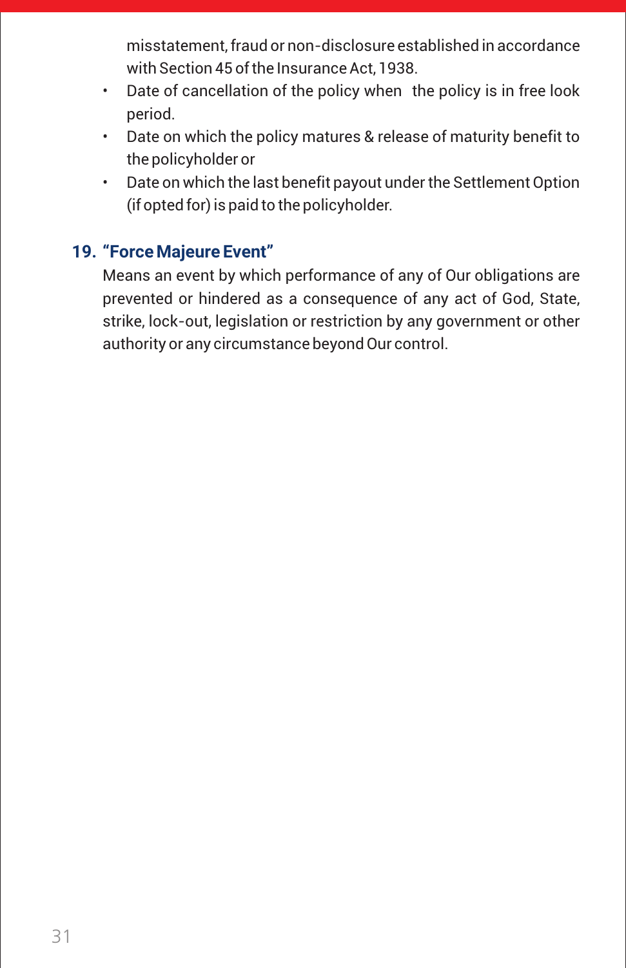misstatement, fraud or non-disclosure established in accordance with Section 45 of the Insurance Act, 1938.

- Date of cancellation of the policy when the policy is in free look period.
- Date on which the policy matures & release of maturity benefit to the policyholder or
- Date on which the last benefit payout under the Settlement Option (if opted for) is paid to the policyholder.

### **19. "Force Majeure Event"**

Means an event by which performance of any of Our obligations are prevented or hindered as a consequence of any act of God, State, strike, lock-out, legislation or restriction by any government or other authority or any circumstance beyond Our control.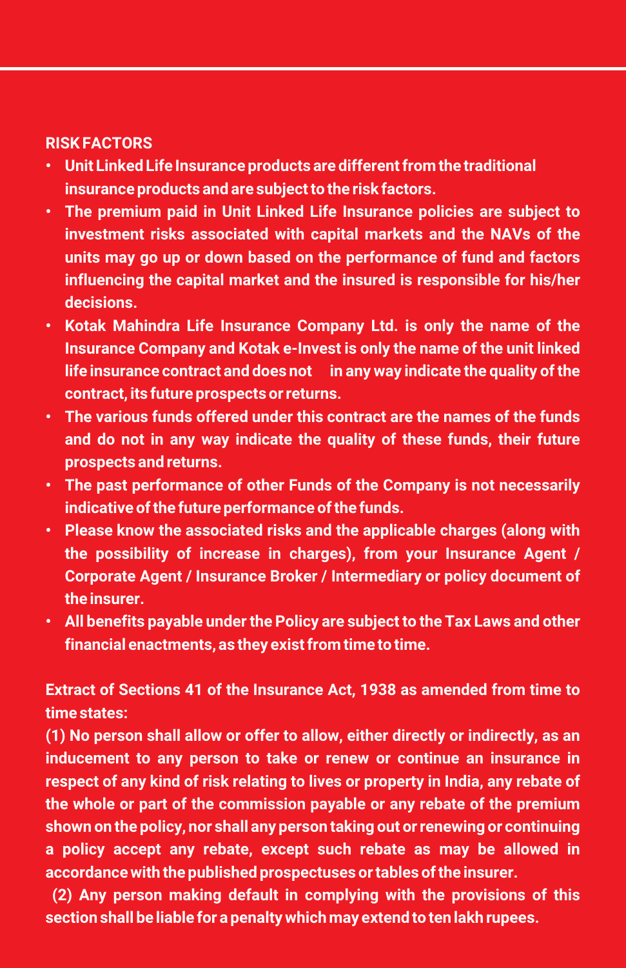#### **RISK FACTORS**

- **• Unit Linked Life Insurance products are different from the traditional insurance products and are subject to the risk factors.**
- **• The premium paid in Unit Linked Life Insurance policies are subject to investment risks associated with capital markets and the NAVs of the units may go up or down based on the performance of fund and factors influencing the capital market and the insured is responsible for his/her decisions.**
- **• Kotak Mahindra Life Insurance Company Ltd. is only the name of the Insurance Company and Kotak e-Invest is only the name of the unit linked life insurance contract and does not in any way indicate the quality of the contract, its future prospects or returns.**
- **• The various funds offered under this contract are the names of the funds and do not in any way indicate the quality of these funds, their future prospects and returns.**
- **• The past performance of other Funds of the Company is not necessarily indicative of the future performance of the funds.**
- **• Please know the associated risks and the applicable charges (along with the possibility of increase in charges), from your Insurance Agent / Corporate Agent / Insurance Broker / Intermediary or policy document of the insurer.**
- **• All benefits payable under the Policy are subject to the Tax Laws and other financial enactments, as they exist from time to time.**

**Extract of Sections 41 of the Insurance Act, 1938 as amended from time to time states:**

**(1) No person shall allow or offer to allow, either directly or indirectly, as an inducement to any person to take or renew or continue an insurance in respect of any kind of risk relating to lives or property in India, any rebate of the whole or part of the commission payable or any rebate of the premium shown on the policy, nor shall any person taking out or renewing or continuing a policy accept any rebate, except such rebate as may be allowed in accordance with the published prospectuses or tables of the insurer.**

**(2) Any person making default in complying with the provisions of this section shall be liable for a penalty which may extend to ten lakh rupees.**